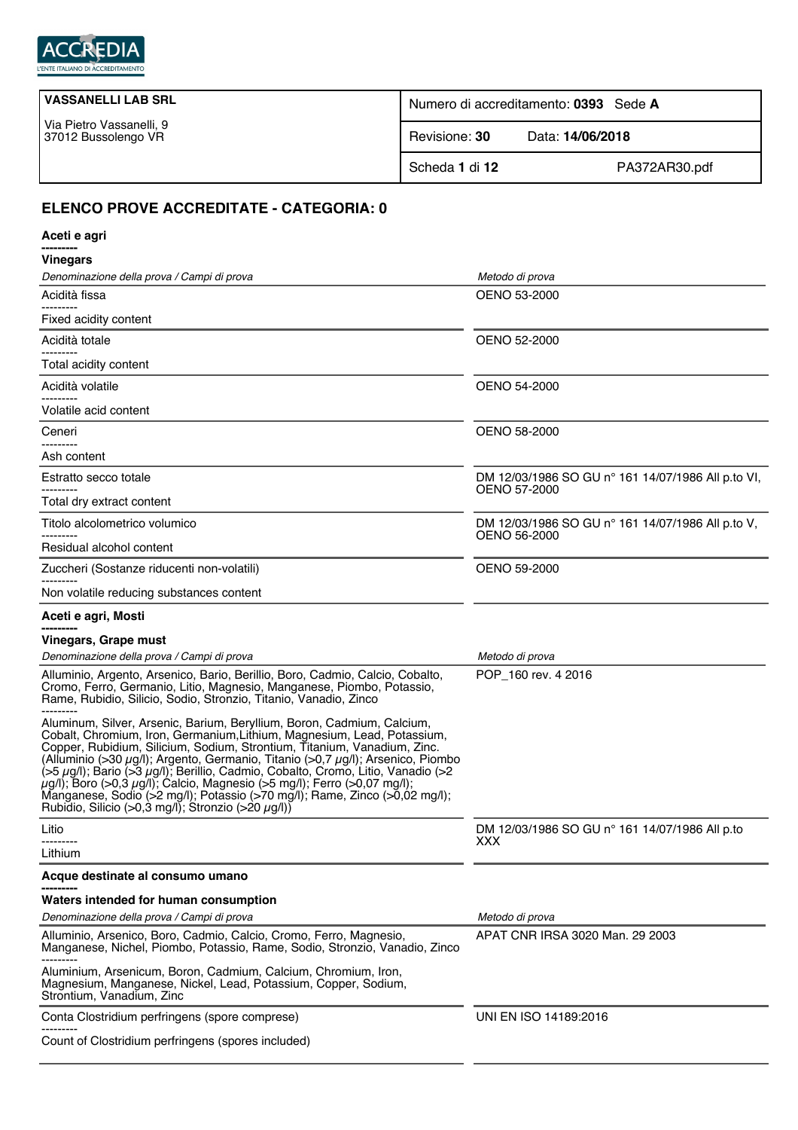

| <b>VASSANELLI LAB SRL</b>                       | Numero di accreditamento: 0393 Sede A |                  |
|-------------------------------------------------|---------------------------------------|------------------|
| Via Pietro Vassanelli, 9<br>37012 Bussolengo VR | Revisione: 30                         | Data: 14/06/2018 |
|                                                 | Scheda 1 di 12                        | PA372AR30.pdf    |

## **ELENCO PROVE ACCREDITATE - CATEGORIA: 0**

| Aceti e agri                                                                                                                                                                                                                                                                                                                                                                                                                                                                                                                                                                                                                                        |                                                                   |
|-----------------------------------------------------------------------------------------------------------------------------------------------------------------------------------------------------------------------------------------------------------------------------------------------------------------------------------------------------------------------------------------------------------------------------------------------------------------------------------------------------------------------------------------------------------------------------------------------------------------------------------------------------|-------------------------------------------------------------------|
| <b>Vinegars</b>                                                                                                                                                                                                                                                                                                                                                                                                                                                                                                                                                                                                                                     |                                                                   |
| Denominazione della prova / Campi di prova                                                                                                                                                                                                                                                                                                                                                                                                                                                                                                                                                                                                          | Metodo di prova                                                   |
| Acidità fissa<br>-------                                                                                                                                                                                                                                                                                                                                                                                                                                                                                                                                                                                                                            | OENO 53-2000                                                      |
| Fixed acidity content                                                                                                                                                                                                                                                                                                                                                                                                                                                                                                                                                                                                                               |                                                                   |
| Acidità totale                                                                                                                                                                                                                                                                                                                                                                                                                                                                                                                                                                                                                                      | <b>OENO 52-2000</b>                                               |
| Total acidity content                                                                                                                                                                                                                                                                                                                                                                                                                                                                                                                                                                                                                               |                                                                   |
| Acidità volatile                                                                                                                                                                                                                                                                                                                                                                                                                                                                                                                                                                                                                                    | OENO 54-2000                                                      |
| Volatile acid content                                                                                                                                                                                                                                                                                                                                                                                                                                                                                                                                                                                                                               |                                                                   |
| Ceneri                                                                                                                                                                                                                                                                                                                                                                                                                                                                                                                                                                                                                                              | OENO 58-2000                                                      |
| -------<br>Ash content                                                                                                                                                                                                                                                                                                                                                                                                                                                                                                                                                                                                                              |                                                                   |
| Estratto secco totale                                                                                                                                                                                                                                                                                                                                                                                                                                                                                                                                                                                                                               | DM 12/03/1986 SO GU n° 161 14/07/1986 All p.to VI,                |
| Total dry extract content                                                                                                                                                                                                                                                                                                                                                                                                                                                                                                                                                                                                                           | <b>OENO 57-2000</b>                                               |
| Titolo alcolometrico volumico                                                                                                                                                                                                                                                                                                                                                                                                                                                                                                                                                                                                                       | DM 12/03/1986 SO GU n° 161 14/07/1986 All p.to V,<br>OENO 56-2000 |
| Residual alcohol content                                                                                                                                                                                                                                                                                                                                                                                                                                                                                                                                                                                                                            |                                                                   |
| Zuccheri (Sostanze riducenti non-volatili)                                                                                                                                                                                                                                                                                                                                                                                                                                                                                                                                                                                                          | OENO 59-2000                                                      |
| Non volatile reducing substances content                                                                                                                                                                                                                                                                                                                                                                                                                                                                                                                                                                                                            |                                                                   |
| Aceti e agri, Mosti                                                                                                                                                                                                                                                                                                                                                                                                                                                                                                                                                                                                                                 |                                                                   |
| Vinegars, Grape must                                                                                                                                                                                                                                                                                                                                                                                                                                                                                                                                                                                                                                |                                                                   |
| Denominazione della prova / Campi di prova                                                                                                                                                                                                                                                                                                                                                                                                                                                                                                                                                                                                          | Metodo di prova                                                   |
| Alluminio, Argento, Arsenico, Bario, Berillio, Boro, Cadmio, Calcio, Cobalto,<br>Cromo, Ferro, Germanio, Litio, Magnesio, Manganese, Piombo, Potassio,<br>Rame, Rubidio, Silicio, Sodio, Stronzio, Titanio, Vanadio, Zinco                                                                                                                                                                                                                                                                                                                                                                                                                          | POP 160 rev. 4 2016                                               |
| Aluminum, Silver, Arsenic, Barium, Beryllium, Boron, Cadmium, Calcium,<br>Cobalt, Chromium, Iron, Germanium, Lithium, Magnesium, Lead, Potassium,<br>Copper, Rubidium, Silicium, Sodium, Strontium, Titanium, Vanadium, Zinc.<br>(Alluminio (>30 µg/l); Argento, Germanio, Titanio (>0,7 µg/l); Arsenico, Piombo<br>$(55 \mu g/l)$ ; Bario ( $53 \mu g/l$ ); Berillio, Cadmio, Cobalto, Cromo, Litio, Vanadio ( $>2$<br>$\mu$ g/l); Boro (>0,3 $\mu$ g/l); Calcio, Magnesio (>5 mg/l); Ferro (>0,07 mg/l);<br>Manganese, Sodio (>2 mg/l); Potassio (>70 mg/l); Rame, Zinco (>0,02 mg/l);<br>Rubidio, Silicio (>0,3 mg/l); Stronzio (>20 $\mu$ g/l)) |                                                                   |
| Litio                                                                                                                                                                                                                                                                                                                                                                                                                                                                                                                                                                                                                                               | DM 12/03/1986 SO GU n° 161 14/07/1986 All p.to                    |
| Lithium                                                                                                                                                                                                                                                                                                                                                                                                                                                                                                                                                                                                                                             | XXX                                                               |
| Acque destinate al consumo umano                                                                                                                                                                                                                                                                                                                                                                                                                                                                                                                                                                                                                    |                                                                   |
| Waters intended for human consumption                                                                                                                                                                                                                                                                                                                                                                                                                                                                                                                                                                                                               |                                                                   |
| Denominazione della prova / Campi di prova                                                                                                                                                                                                                                                                                                                                                                                                                                                                                                                                                                                                          | Metodo di prova                                                   |
| Alluminio, Arsenico, Boro, Cadmio, Calcio, Cromo, Ferro, Magnesio,<br>Manganese, Nichel, Piombo, Potassio, Rame, Sodio, Stronzio, Vanadio, Zinco                                                                                                                                                                                                                                                                                                                                                                                                                                                                                                    | APAT CNR IRSA 3020 Man. 29 2003                                   |
| Aluminium, Arsenicum, Boron, Cadmium, Calcium, Chromium, Iron,<br>Magnesium, Manganese, Nickel, Lead, Potassium, Copper, Sodium,<br>Strontium, Vanadium, Zinc                                                                                                                                                                                                                                                                                                                                                                                                                                                                                       |                                                                   |
| Conta Clostridium perfringens (spore comprese)                                                                                                                                                                                                                                                                                                                                                                                                                                                                                                                                                                                                      | UNI EN ISO 14189:2016                                             |
| Count of Clostridium perfringens (spores included)                                                                                                                                                                                                                                                                                                                                                                                                                                                                                                                                                                                                  |                                                                   |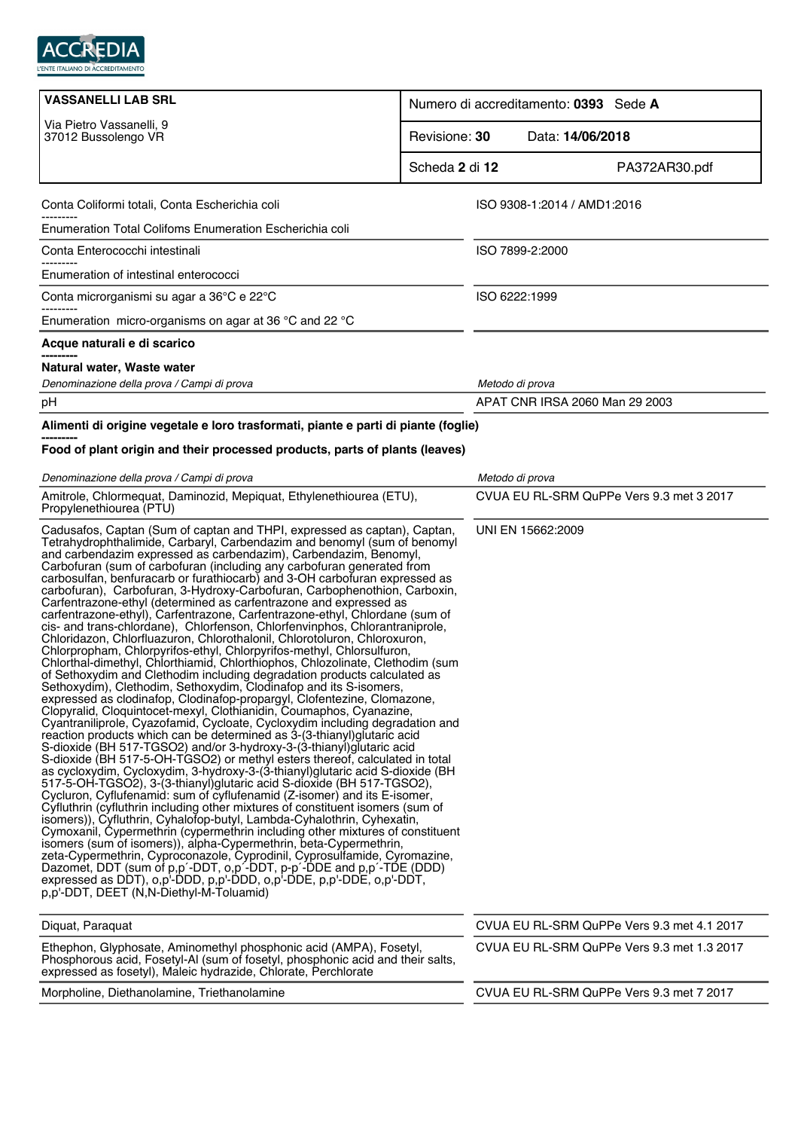

| <b>VASSANELLI LAB SRL</b>                                                                                                                                                                                                                                                                                                                                                                                                                                                                                                                                                                                                                                                                                                                                                                                                                                                                                                                                                                                                                                                                                                                                                                                                                                                                                                                                                                                                                                                                                                                                                                                                                                                                                                                                                                                                                                                                                                                                                                                                                                                                                                                                                                                                                                                                                                                                                                                                                                                                                                                                       |                | Numero di accreditamento: 0393 Sede A      |                                            |
|-----------------------------------------------------------------------------------------------------------------------------------------------------------------------------------------------------------------------------------------------------------------------------------------------------------------------------------------------------------------------------------------------------------------------------------------------------------------------------------------------------------------------------------------------------------------------------------------------------------------------------------------------------------------------------------------------------------------------------------------------------------------------------------------------------------------------------------------------------------------------------------------------------------------------------------------------------------------------------------------------------------------------------------------------------------------------------------------------------------------------------------------------------------------------------------------------------------------------------------------------------------------------------------------------------------------------------------------------------------------------------------------------------------------------------------------------------------------------------------------------------------------------------------------------------------------------------------------------------------------------------------------------------------------------------------------------------------------------------------------------------------------------------------------------------------------------------------------------------------------------------------------------------------------------------------------------------------------------------------------------------------------------------------------------------------------------------------------------------------------------------------------------------------------------------------------------------------------------------------------------------------------------------------------------------------------------------------------------------------------------------------------------------------------------------------------------------------------------------------------------------------------------------------------------------------------|----------------|--------------------------------------------|--------------------------------------------|
| Via Pietro Vassanelli, 9<br>37012 Bussolengo VR                                                                                                                                                                                                                                                                                                                                                                                                                                                                                                                                                                                                                                                                                                                                                                                                                                                                                                                                                                                                                                                                                                                                                                                                                                                                                                                                                                                                                                                                                                                                                                                                                                                                                                                                                                                                                                                                                                                                                                                                                                                                                                                                                                                                                                                                                                                                                                                                                                                                                                                 | Revisione: 30  | Data: 14/06/2018                           |                                            |
|                                                                                                                                                                                                                                                                                                                                                                                                                                                                                                                                                                                                                                                                                                                                                                                                                                                                                                                                                                                                                                                                                                                                                                                                                                                                                                                                                                                                                                                                                                                                                                                                                                                                                                                                                                                                                                                                                                                                                                                                                                                                                                                                                                                                                                                                                                                                                                                                                                                                                                                                                                 | Scheda 2 di 12 |                                            | PA372AR30.pdf                              |
| Conta Coliformi totali, Conta Escherichia coli                                                                                                                                                                                                                                                                                                                                                                                                                                                                                                                                                                                                                                                                                                                                                                                                                                                                                                                                                                                                                                                                                                                                                                                                                                                                                                                                                                                                                                                                                                                                                                                                                                                                                                                                                                                                                                                                                                                                                                                                                                                                                                                                                                                                                                                                                                                                                                                                                                                                                                                  |                | ISO 9308-1:2014 / AMD1:2016                |                                            |
| Enumeration Total Colifoms Enumeration Escherichia coli                                                                                                                                                                                                                                                                                                                                                                                                                                                                                                                                                                                                                                                                                                                                                                                                                                                                                                                                                                                                                                                                                                                                                                                                                                                                                                                                                                                                                                                                                                                                                                                                                                                                                                                                                                                                                                                                                                                                                                                                                                                                                                                                                                                                                                                                                                                                                                                                                                                                                                         |                |                                            |                                            |
| Conta Enterococchi intestinali                                                                                                                                                                                                                                                                                                                                                                                                                                                                                                                                                                                                                                                                                                                                                                                                                                                                                                                                                                                                                                                                                                                                                                                                                                                                                                                                                                                                                                                                                                                                                                                                                                                                                                                                                                                                                                                                                                                                                                                                                                                                                                                                                                                                                                                                                                                                                                                                                                                                                                                                  |                | ISO 7899-2:2000                            |                                            |
| Enumeration of intestinal enterococci                                                                                                                                                                                                                                                                                                                                                                                                                                                                                                                                                                                                                                                                                                                                                                                                                                                                                                                                                                                                                                                                                                                                                                                                                                                                                                                                                                                                                                                                                                                                                                                                                                                                                                                                                                                                                                                                                                                                                                                                                                                                                                                                                                                                                                                                                                                                                                                                                                                                                                                           |                |                                            |                                            |
| Conta microrganismi su agar a 36°C e 22°C                                                                                                                                                                                                                                                                                                                                                                                                                                                                                                                                                                                                                                                                                                                                                                                                                                                                                                                                                                                                                                                                                                                                                                                                                                                                                                                                                                                                                                                                                                                                                                                                                                                                                                                                                                                                                                                                                                                                                                                                                                                                                                                                                                                                                                                                                                                                                                                                                                                                                                                       |                | ISO 6222:1999                              |                                            |
| Enumeration micro-organisms on agar at 36 $\degree$ C and 22 $\degree$ C                                                                                                                                                                                                                                                                                                                                                                                                                                                                                                                                                                                                                                                                                                                                                                                                                                                                                                                                                                                                                                                                                                                                                                                                                                                                                                                                                                                                                                                                                                                                                                                                                                                                                                                                                                                                                                                                                                                                                                                                                                                                                                                                                                                                                                                                                                                                                                                                                                                                                        |                |                                            |                                            |
| Acque naturali e di scarico                                                                                                                                                                                                                                                                                                                                                                                                                                                                                                                                                                                                                                                                                                                                                                                                                                                                                                                                                                                                                                                                                                                                                                                                                                                                                                                                                                                                                                                                                                                                                                                                                                                                                                                                                                                                                                                                                                                                                                                                                                                                                                                                                                                                                                                                                                                                                                                                                                                                                                                                     |                |                                            |                                            |
| Natural water, Waste water                                                                                                                                                                                                                                                                                                                                                                                                                                                                                                                                                                                                                                                                                                                                                                                                                                                                                                                                                                                                                                                                                                                                                                                                                                                                                                                                                                                                                                                                                                                                                                                                                                                                                                                                                                                                                                                                                                                                                                                                                                                                                                                                                                                                                                                                                                                                                                                                                                                                                                                                      |                |                                            |                                            |
| Denominazione della prova / Campi di prova                                                                                                                                                                                                                                                                                                                                                                                                                                                                                                                                                                                                                                                                                                                                                                                                                                                                                                                                                                                                                                                                                                                                                                                                                                                                                                                                                                                                                                                                                                                                                                                                                                                                                                                                                                                                                                                                                                                                                                                                                                                                                                                                                                                                                                                                                                                                                                                                                                                                                                                      |                | Metodo di prova                            |                                            |
| pH                                                                                                                                                                                                                                                                                                                                                                                                                                                                                                                                                                                                                                                                                                                                                                                                                                                                                                                                                                                                                                                                                                                                                                                                                                                                                                                                                                                                                                                                                                                                                                                                                                                                                                                                                                                                                                                                                                                                                                                                                                                                                                                                                                                                                                                                                                                                                                                                                                                                                                                                                              |                | APAT CNR IRSA 2060 Man 29 2003             |                                            |
| Alimenti di origine vegetale e loro trasformati, piante e parti di piante (foglie)                                                                                                                                                                                                                                                                                                                                                                                                                                                                                                                                                                                                                                                                                                                                                                                                                                                                                                                                                                                                                                                                                                                                                                                                                                                                                                                                                                                                                                                                                                                                                                                                                                                                                                                                                                                                                                                                                                                                                                                                                                                                                                                                                                                                                                                                                                                                                                                                                                                                              |                |                                            |                                            |
| Food of plant origin and their processed products, parts of plants (leaves)                                                                                                                                                                                                                                                                                                                                                                                                                                                                                                                                                                                                                                                                                                                                                                                                                                                                                                                                                                                                                                                                                                                                                                                                                                                                                                                                                                                                                                                                                                                                                                                                                                                                                                                                                                                                                                                                                                                                                                                                                                                                                                                                                                                                                                                                                                                                                                                                                                                                                     |                |                                            |                                            |
|                                                                                                                                                                                                                                                                                                                                                                                                                                                                                                                                                                                                                                                                                                                                                                                                                                                                                                                                                                                                                                                                                                                                                                                                                                                                                                                                                                                                                                                                                                                                                                                                                                                                                                                                                                                                                                                                                                                                                                                                                                                                                                                                                                                                                                                                                                                                                                                                                                                                                                                                                                 |                | Metodo di prova                            |                                            |
|                                                                                                                                                                                                                                                                                                                                                                                                                                                                                                                                                                                                                                                                                                                                                                                                                                                                                                                                                                                                                                                                                                                                                                                                                                                                                                                                                                                                                                                                                                                                                                                                                                                                                                                                                                                                                                                                                                                                                                                                                                                                                                                                                                                                                                                                                                                                                                                                                                                                                                                                                                 |                | CVUA EU RL-SRM QuPPe Vers 9.3 met 3 2017   |                                            |
| Denominazione della prova / Campi di prova<br>Amitrole, Chlormequat, Daminozid, Mepiquat, Ethylenethiourea (ETU),<br>Propylenethiourea (PTU)<br>Cadusafos, Captan (Sum of captan and THPI, expressed as captan), Captan,<br>Tetrahydrophthalimide, Carbaryl, Carbendazim and benomyl (sum of benomyl<br>and carbendazim expressed as carbendazim), Carbendazim, Benomyl,<br>Carbofuran (sum of carbofuran (including any carbofuran generated from<br>carbosulfan, benfuracarb or furathiocarb) and 3-OH carbofuran expressed as<br>carbofuran), Carbofuran, 3-Hydroxy-Carbofuran, Carbophenothion, Carboxin,<br>Carfentrazone-ethyl (determined as carfentrazone and expressed as<br>carfentrazone-ethyl), Carfentrazone, Carfentrazone-ethyl, Chlordane (sum of<br>cis- and trans-chlordane), Chlorfenson, Chlorfenvinphos, Chlorantraniprole,<br>Chloridazon, Chlorfluazuron, Chlorothalonil, Chlorotoluron, Chloroxuron,<br>Chlorpropham, Chlorpyrifos-ethyl, Chlorpyrifos-methyl, Chlorsulfuron,<br>Chlorthal-dimethyl, Chlorthiamid, Chlorthiophos, Chlozolinate, Clethodim (sum<br>of Sethoxydim and Clethodim including degradation products calculated as<br>Sethoxydim), Clethodim, Sethoxydim, Clodinafop and its S-isomers,<br>expressed as clodinafop, Clodinafop-propargyl, Clofentezine, Clomazone,<br>Clopyralid, Cloquintocet-mexyl, Clothianidin, Coumaphos, Cyanazine,<br>Cyantraniliprole, Cyazofamid, Cycloate, Cycloxydim including degradation and<br>reaction products which can be determined as 3-(3-thianyl)glutaric acid<br>S-dioxide (BH 517-TGSO2) and/or 3-hydroxy-3-(3-thianyl)glutaric acid<br>S-dioxide (BH 517-5-OH-TGSO2) or methyl esters thereof, calculated in total<br>as cycloxydim, Cycloxydim, 3-hydroxy-3-(3-thianyl)glutaric acid S-dioxide (BH<br>517-5-OH-TGSO2), 3-(3-thianyl)glutaric acid S-dioxide (BH 517-TGSO2),<br>Cycluron, Cyflufenamid: sum of cyflufenamid (Z-isomer) and its E-isomer,<br>Cyfluthrin (cyfluthrin including other mixtures of constituent isomers (sum of<br>isomers)), Cyfluthrin, Cyhalofop-butyl, Lambda-Cyhalothrin, Cyhexatin,<br>Cymoxanil, Cypermethrin (cypermethrin including other mixtures of constituent<br>isomers (sum of isomers)), alpha-Cypermethrin, beta-Cypermethrin,<br>zeta-Cypermethrin, Cyproconazole, Cyprodinil, Cyprosulfamide, Cyromazine,<br>Dazomet, DDT (sum of p,p'-DDT, o,p'-DDT, p-p'-DDE and p,p'-TDE (DDD)<br>expressed as DDT), $o, p'$ -DDD, $p, p'$ -DDD, $o, p'$ -DDE, $p, p'$ -DDE, $o, p'$ -DDT,<br>p,p'-DDT, DEET (N,N-Diethyl-M-Toluamid) |                | UNI EN 15662:2009                          |                                            |
| Diguat, Paraguat                                                                                                                                                                                                                                                                                                                                                                                                                                                                                                                                                                                                                                                                                                                                                                                                                                                                                                                                                                                                                                                                                                                                                                                                                                                                                                                                                                                                                                                                                                                                                                                                                                                                                                                                                                                                                                                                                                                                                                                                                                                                                                                                                                                                                                                                                                                                                                                                                                                                                                                                                |                |                                            | CVUA EU RL-SRM QuPPe Vers 9.3 met 4.1 2017 |
| Ethephon, Glyphosate, Aminomethyl phosphonic acid (AMPA), Fosetyl,<br>Phosphorous acid, Fosetyl-AI (sum of fosetyl, phosphonic acid and their salts,<br>expressed as fosetyl), Maleic hydrazide, Chlorate, Perchlorate                                                                                                                                                                                                                                                                                                                                                                                                                                                                                                                                                                                                                                                                                                                                                                                                                                                                                                                                                                                                                                                                                                                                                                                                                                                                                                                                                                                                                                                                                                                                                                                                                                                                                                                                                                                                                                                                                                                                                                                                                                                                                                                                                                                                                                                                                                                                          |                | CVUA EU RL-SRM QuPPe Vers 9.3 met 1.3 2017 |                                            |
| Morpholine, Diethanolamine, Triethanolamine                                                                                                                                                                                                                                                                                                                                                                                                                                                                                                                                                                                                                                                                                                                                                                                                                                                                                                                                                                                                                                                                                                                                                                                                                                                                                                                                                                                                                                                                                                                                                                                                                                                                                                                                                                                                                                                                                                                                                                                                                                                                                                                                                                                                                                                                                                                                                                                                                                                                                                                     |                | CVUA EU RL-SRM QuPPe Vers 9.3 met 7 2017   |                                            |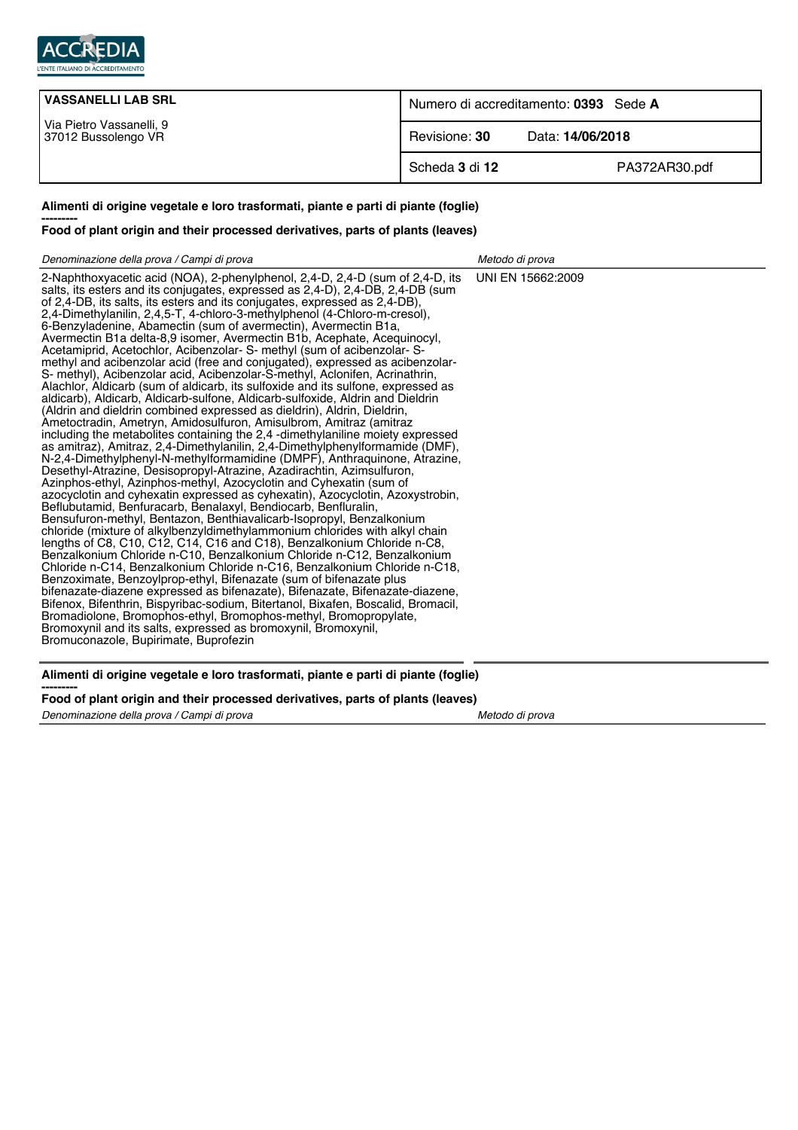

| <b>VASSANELLI LAB SRL</b>                       | Numero di accreditamento: 0393 Sede A |                  |
|-------------------------------------------------|---------------------------------------|------------------|
| Via Pietro Vassanelli, 9<br>37012 Bussolengo VR | Revisione: 30                         | Data: 14/06/2018 |
|                                                 | Scheda 3 di 12                        | PA372AR30.pdf    |

## **Alimenti di origine vegetale e loro trasformati, piante e parti di piante (foglie)**

## **--------- Food of plant origin and their processed derivatives, parts of plants (leaves)**

| Denominazione della prova / Campi di prova                                                                                                                                                                                                                                                                                                                                                                                                                                                                                                                                                                                                                                                                                                                                                                                                                                                                                                                                                                                                                                                                                                                                                                                                                                                                                                                                                                                                                                                                                                                                                                                                                                                                                                                                                                                                                                                                                                                                                                                                                                                                                                                                                                                                                                                                                                                                                                   | Metodo di prova   |
|--------------------------------------------------------------------------------------------------------------------------------------------------------------------------------------------------------------------------------------------------------------------------------------------------------------------------------------------------------------------------------------------------------------------------------------------------------------------------------------------------------------------------------------------------------------------------------------------------------------------------------------------------------------------------------------------------------------------------------------------------------------------------------------------------------------------------------------------------------------------------------------------------------------------------------------------------------------------------------------------------------------------------------------------------------------------------------------------------------------------------------------------------------------------------------------------------------------------------------------------------------------------------------------------------------------------------------------------------------------------------------------------------------------------------------------------------------------------------------------------------------------------------------------------------------------------------------------------------------------------------------------------------------------------------------------------------------------------------------------------------------------------------------------------------------------------------------------------------------------------------------------------------------------------------------------------------------------------------------------------------------------------------------------------------------------------------------------------------------------------------------------------------------------------------------------------------------------------------------------------------------------------------------------------------------------------------------------------------------------------------------------------------------------|-------------------|
| 2-Naphthoxyacetic acid (NOA), 2-phenylphenol, 2,4-D, 2,4-D (sum of 2,4-D, its<br>salts, its esters and its conjugates, expressed as 2,4-D), 2,4-DB, 2,4-DB (sum<br>of 2,4-DB, its salts, its esters and its conjugates, expressed as 2,4-DB),<br>2.4-Dimethylanilin, 2.4.5-T, 4-chloro-3-methylphenol (4-Chloro-m-cresol),<br>6-Benzyladenine, Abamectin (sum of avermectin), Avermectin B1a,<br>Avermectin B1a delta-8.9 isomer, Avermectin B1b, Acephate, Acequinocyl,<br>Acetamiprid, Acetochlor, Acibenzolar- S- methyl (sum of acibenzolar- S-<br>methyl and acibenzolar acid (free and conjugated), expressed as acibenzolar-<br>S- methyl), Acibenzolar acid, Acibenzolar-S-methyl, Aclonifen, Acrinathrin,<br>Alachlor, Aldicarb (sum of aldicarb, its sulfoxide and its sulfone, expressed as<br>aldicarb), Aldicarb, Aldicarb-sulfone, Aldicarb-sulfoxide, Aldrin and Dieldrin<br>(Aldrin and dieldrin combined expressed as dieldrin), Aldrin, Dieldrin,<br>Ametoctradin, Ametryn, Amidosulfuron, Amisulbrom, Amitraz (amitraz<br>including the metabolites containing the 2,4 -dimethylaniline moiety expressed<br>as amitraz), Amitraz, 2,4-Dimethylanilin, 2,4-Dimethylphenylformamide (DMF),<br>N-2,4-Dimethylphenyl-N-methylformamidine (DMPF), Anthraquinone, Atrazine,<br>Desethyl-Atrazine, Desisopropyl-Atrazine, Azadirachtin, Azimsulfuron,<br>Azinphos-ethyl, Azinphos-methyl, Azocyclotin and Cyhexatin (sum of<br>azocyclotin and cyhexatin expressed as cyhexatin), Azocyclotin, Azoxystrobin,<br>Beflubutamid, Benfuracarb, Benalaxyl, Bendiocarb, Benfluralin,<br>Bensufuron-methyl, Bentazon, Benthiavalicarb-Isopropyl, Benzalkonium<br>chloride (mixture of alkylbenzyldimethylammonium chlorides with alkyl chain<br>lengths of C8, C10, C12, C14, C16 and C18), Benzalkonium Chloride n-C8,<br>Benzalkonium Chloride n-C10, Benzalkonium Chloride n-C12, Benzalkonium<br>Chloride n-C14, Benzalkonium Chloride n-C16, Benzalkonium Chloride n-C18,<br>Benzoximate, Benzoylprop-ethyl, Bifenazate (sum of bifenazate plus<br>bifenazate-diazene expressed as bifenazate), Bifenazate, Bifenazate-diazene,<br>Bifenox, Bifenthrin, Bispyribac-sodium, Bitertanol, Bixafen, Boscalid, Bromacil,<br>Bromadiolone, Bromophos-ethyl, Bromophos-methyl, Bromopropylate,<br>Bromoxynil and its salts, expressed as bromoxynil, Bromoxynil,<br>Bromuconazole, Bupirimate, Buprofezin | UNI EN 15662:2009 |
| Alimenti di origine vegetale e loro trasformati, piante e parti di piante (foglie)                                                                                                                                                                                                                                                                                                                                                                                                                                                                                                                                                                                                                                                                                                                                                                                                                                                                                                                                                                                                                                                                                                                                                                                                                                                                                                                                                                                                                                                                                                                                                                                                                                                                                                                                                                                                                                                                                                                                                                                                                                                                                                                                                                                                                                                                                                                           |                   |

## **--------- Food of plant origin and their processed derivatives, parts of plants (leaves)**

Denominazione della prova / Campi di prova Metodo di prova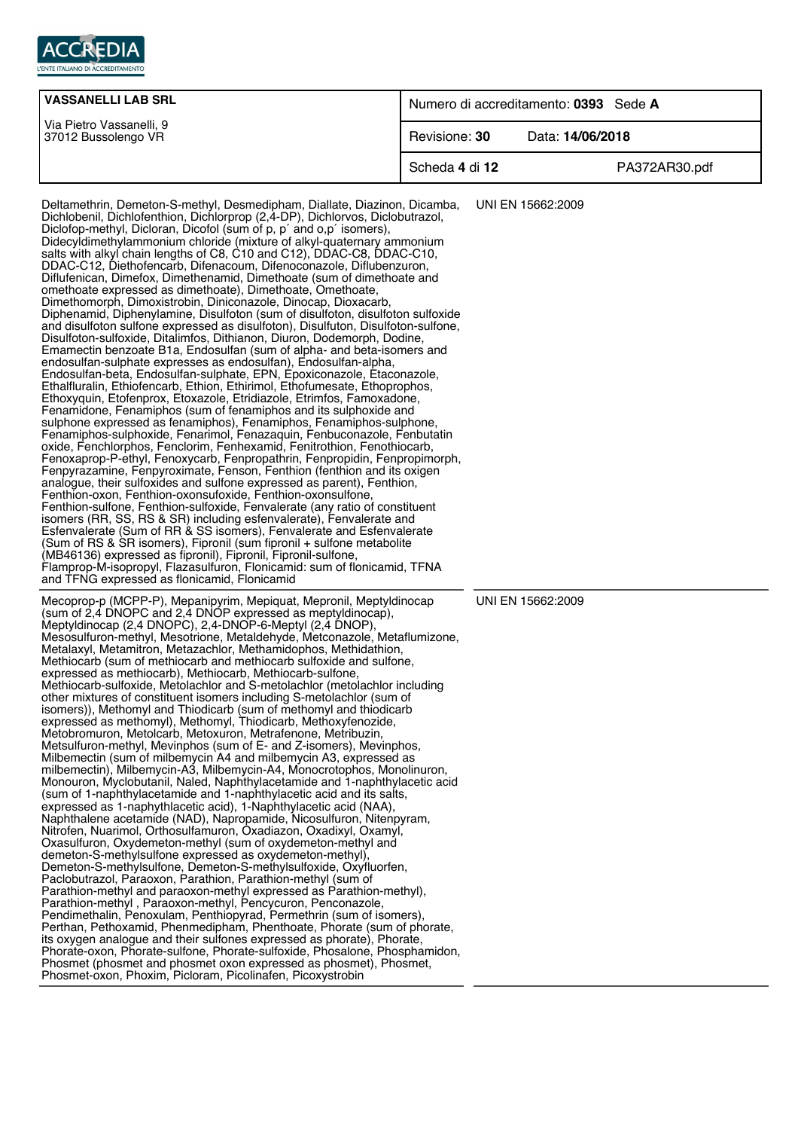

| <b>VASSANELLI LAB SRL</b>                       | Numero di accreditamento: 0393 Sede A |                  |
|-------------------------------------------------|---------------------------------------|------------------|
| Via Pietro Vassanelli, 9<br>37012 Bussolengo VR | Revisione: 30                         | Data: 14/06/2018 |
|                                                 | Scheda 4 di 12                        | PA372AR30.pdf    |

Deltamethrin, Demeton-S-methyl, Desmedipham, Diallate, Diazinon, Dicamba, Dichlobenil, Dichlofenthion, Dichlorprop (2,4-DP), Dichlorvos, Diclobutrazol, Diclofop-methyl, Dicloran, Dicofol (sum of p, p´ and o,p´ isomers), Didecyldimethylammonium chloride (mixture of alkyl-quaternary ammonium salts with alkyl chain lengths of C8, C10 and C12), DDAC-C8, DDAC-C10, DDAC-C12, Diethofencarb, Difenacoum, Difenoconazole, Diflubenzuron, Diflufenican, Dimefox, Dimethenamid, Dimethoate (sum of dimethoate and omethoate expressed as dimethoate), Dimethoate, Omethoate, Dimethomorph, Dimoxistrobin, Diniconazole, Dinocap, Dioxacarb, Diphenamid, Diphenylamine, Disulfoton (sum of disulfoton, disulfoton sulfoxide and disulfoton sulfone expressed as disulfoton), Disulfuton, Disulfoton-sulfone, Disulfoton-sulfoxide, Ditalimfos, Dithianon, Diuron, Dodemorph, Dodine, Emamectin benzoate B1a, Endosulfan (sum of alpha- and beta-isomers and endosulfan-sulphate expresses as endosulfan), Endosulfan-alpha, Endosulfan-beta, Endosulfan-sulphate, EPN, Epoxiconazole, Etaconazole, Ethalfluralin, Ethiofencarb, Ethion, Ethirimol, Ethofumesate, Ethoprophos, Ethoxyquin, Etofenprox, Etoxazole, Etridiazole, Etrimfos, Famoxadone, Fenamidone, Fenamiphos (sum of fenamiphos and its sulphoxide and sulphone expressed as fenamiphos), Fenamiphos, Fenamiphos-sulphone, Fenamiphos-sulphoxide, Fenarimol, Fenazaquin, Fenbuconazole, Fenbutatin oxide, Fenchlorphos, Fenclorim, Fenhexamid, Fenitrothion, Fenothiocarb, Fenoxaprop-P-ethyl, Fenoxycarb, Fenpropathrin, Fenpropidin, Fenpropimorph, Fenpyrazamine, Fenpyroximate, Fenson, Fenthion (fenthion and its oxigen analogue, their sulfoxides and sulfone expressed as parent), Fenthion, Fenthion-oxon, Fenthion-oxonsufoxide, Fenthion-oxonsulfone, Fenthion-sulfone, Fenthion-sulfoxide, Fenvalerate (any ratio of constituent isomers (RR, SS, RS & SR) including esfenvalerate), Fenvalerate and Esfenvalerate (Sum of RR & SS isomers), Fenvalerate and Esfenvalerate (Sum of RS & SR isomers), Fipronil (sum fipronil + sulfone metabolite (MB46136) expressed as fipronil), Fipronil, Fipronil-sulfone, Flamprop-M-isopropyl, Flazasulfuron, Flonicamid: sum of flonicamid, TFNA and TFNG expressed as flonicamid, Flonicamid UNI EN 15662:2009 Mecoprop-p (MCPP-P), Mepanipyrim, Mepiquat, Mepronil, Meptyldinocap (sum of 2,4 DNOPC and 2,4 DNOP expressed as meptyldinocap), Meptyldinocap (2,4 DNOPC), 2,4-DNOP-6-Meptyl (2,4 DNOP), Mesosulfuron-methyl, Mesotrione, Metaldehyde, Metconazole, Metaflumizone, Metalaxyl, Metamitron, Metazachlor, Methamidophos, Methidathion, Methiocarb (sum of methiocarb and methiocarb sulfoxide and sulfone, expressed as methiocarb), Methiocarb, Methiocarb-sulfone, Methiocarb-sulfoxide, Metolachlor and S-metolachlor (metolachlor including other mixtures of constituent isomers including S-metolachlor (sum of isomers)), Methomyl and Thiodicarb (sum of methomyl and thiodicarb expressed as methomyl), Methomyl, Thiodicarb, Methoxyfenozide, Metobromuron, Metolcarb, Metoxuron, Metrafenone, Metribuzin, Metsulfuron-methyl, Mevinphos (sum of E- and Z-isomers), Mevinphos, Milbemectin (sum of milbemycin A4 and milbemycin A3, expressed as milbemectin), Milbemycin-A3, Milbemycin-A4, Monocrotophos, Monolinuron, Monouron, Myclobutanil, Naled, Naphthylacetamide and 1-naphthylacetic acid (sum of 1-naphthylacetamide and 1-naphthylacetic acid and its salts, expressed as 1-naphythlacetic acid), 1-Naphthylacetic acid (NAA), Naphthalene acetamide (NAD), Napropamide, Nicosulfuron, Nitenpyram, Nitrofen, Nuarimol, Orthosulfamuron, Oxadiazon, Oxadixyl, Oxamyl, Oxasulfuron, Oxydemeton-methyl (sum of oxydemeton-methyl and demeton-S-methylsulfone expressed as oxydemeton-methyl), Demeton-S-methylsulfone, Demeton-S-methylsulfoxide, Oxyfluorfen, Paclobutrazol, Paraoxon, Parathion, Parathion-methyl (sum of Parathion-methyl and paraoxon-methyl expressed as Parathion-methyl), Parathion-methyl , Paraoxon-methyl, Pencycuron, Penconazole, Pendimethalin, Penoxulam, Penthiopyrad, Permethrin (sum of isomers), Perthan, Pethoxamid, Phenmedipham, Phenthoate, Phorate (sum of phorate, its oxygen analogue and their sulfones expressed as phorate), Phorate, Phorate-oxon, Phorate-sulfone, Phorate-sulfoxide, Phosalone, Phosphamidon, Phosmet (phosmet and phosmet oxon expressed as phosmet), Phosmet, Phosmet-oxon, Phoxim, Picloram, Picolinafen, Picoxystrobin UNI EN 15662:2009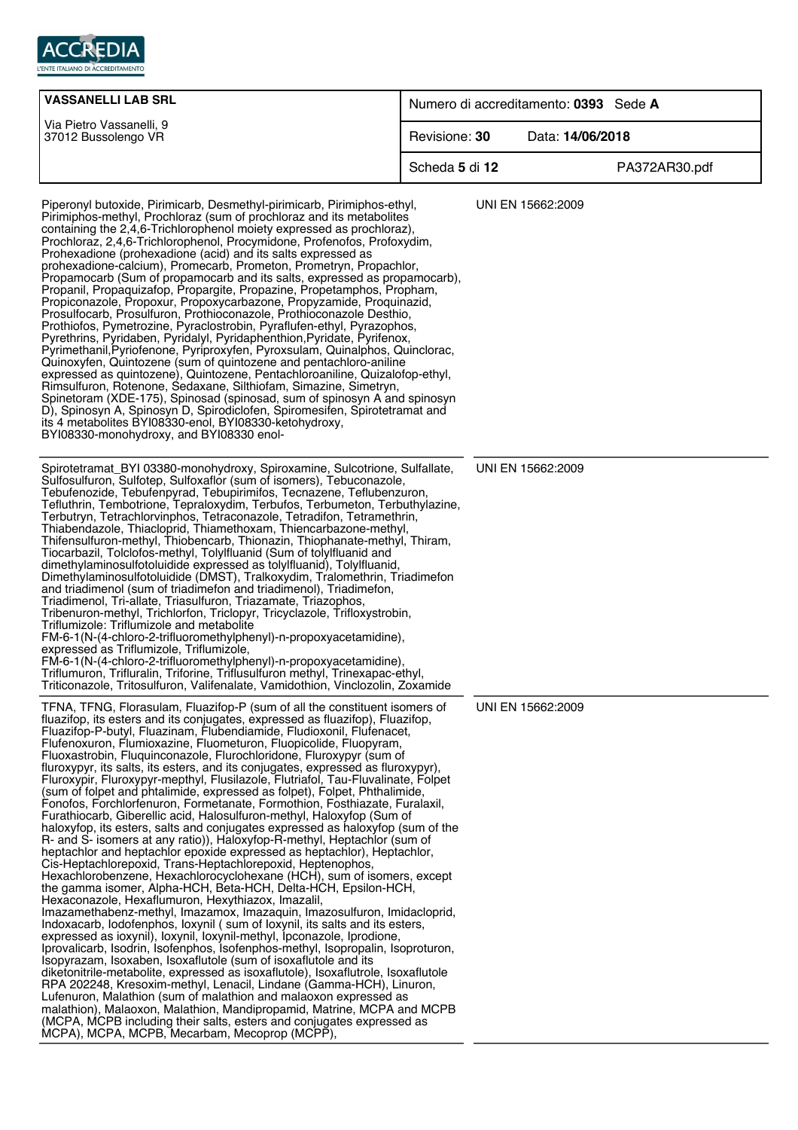

| <b>VASSANELLI LAB SRL</b>                                                                                                                                                                                                                                                                                                                                                                                                                                                                                                                                                                                                                                                                                                                                                                                                                                                                                                                                                                                                                                                                                                                                                                                                                                                                                                                                                                                                                                                                                                                                                                                                                                                                                                                                                                                                                                                                                                                                                                                                                                                                                                            |                | Numero di accreditamento: 0393 Sede A |               |
|--------------------------------------------------------------------------------------------------------------------------------------------------------------------------------------------------------------------------------------------------------------------------------------------------------------------------------------------------------------------------------------------------------------------------------------------------------------------------------------------------------------------------------------------------------------------------------------------------------------------------------------------------------------------------------------------------------------------------------------------------------------------------------------------------------------------------------------------------------------------------------------------------------------------------------------------------------------------------------------------------------------------------------------------------------------------------------------------------------------------------------------------------------------------------------------------------------------------------------------------------------------------------------------------------------------------------------------------------------------------------------------------------------------------------------------------------------------------------------------------------------------------------------------------------------------------------------------------------------------------------------------------------------------------------------------------------------------------------------------------------------------------------------------------------------------------------------------------------------------------------------------------------------------------------------------------------------------------------------------------------------------------------------------------------------------------------------------------------------------------------------------|----------------|---------------------------------------|---------------|
| Via Pietro Vassanelli, 9<br>37012 Bussolengo VR                                                                                                                                                                                                                                                                                                                                                                                                                                                                                                                                                                                                                                                                                                                                                                                                                                                                                                                                                                                                                                                                                                                                                                                                                                                                                                                                                                                                                                                                                                                                                                                                                                                                                                                                                                                                                                                                                                                                                                                                                                                                                      | Revisione: 30  | Data: 14/06/2018                      |               |
|                                                                                                                                                                                                                                                                                                                                                                                                                                                                                                                                                                                                                                                                                                                                                                                                                                                                                                                                                                                                                                                                                                                                                                                                                                                                                                                                                                                                                                                                                                                                                                                                                                                                                                                                                                                                                                                                                                                                                                                                                                                                                                                                      | Scheda 5 di 12 |                                       | PA372AR30.pdf |
| Piperonyl butoxide, Pirimicarb, Desmethyl-pirimicarb, Pirimiphos-ethyl,<br>Pirimiphos-methyl, Prochloraz (sum of prochloraz and its metabolites<br>containing the 2,4,6-Trichlorophenol moiety expressed as prochloraz),<br>Prochloraz, 2,4,6-Trichlorophenol, Procymidone, Profenofos, Profoxydim,<br>Prohexadione (prohexadione (acid) and its salts expressed as<br>prohexadione-calcium), Promecarb, Prometon, Prometryn, Propachlor,<br>Propamocarb (Sum of propamocarb and its salts, expressed as propamocarb),<br>Propanil, Propaquizafop, Propargite, Propazine, Propetamphos, Propham,<br>Propiconazole, Propoxur, Propoxycarbazone, Propyzamide, Proquinazid,<br>Prosulfocarb, Prosulfuron, Prothioconazole, Prothioconazole Desthio,<br>Prothiofos, Pymetrozine, Pyraclostrobin, Pyraflufen-ethyl, Pyrazophos,<br>Pyrethrins, Pyridaben, Pyridalyl, Pyridaphenthion, Pyridate, Pyrifenox,<br>Pyrimethanil, Pyriofenone, Pyriproxyfen, Pyroxsulam, Quinalphos, Quinclorac,<br>Quinoxyfen, Quintozene (sum of quintozene and pentachloro-aniline<br>expressed as quintozene), Quintozene, Pentachloroaniline, Quizalofop-ethyl,<br>Rimsulfuron, Rotenone, Sedaxane, Silthiofam, Simazine, Simetryn,<br>Spinetoram (XDE-175), Spinosad (spinosad, sum of spinosyn A and spinosyn<br>D), Spinosyn A, Spinosyn D, Spirodiclofen, Spiromesifen, Spirotetramat and<br>its 4 metabolites BYI08330-enol, BYI08330-ketohydroxy,<br>BYI08330-monohydroxy, and BYI08330 enol-                                                                                                                                                                                                                                                                                                                                                                                                                                                                                                                                                                                                                                                        |                | UNI EN 15662:2009                     |               |
| Spirotetramat_BYI 03380-monohydroxy, Spiroxamine, Sulcotrione, Sulfallate,<br>Sulfosulfuron, Sulfotep, Sulfoxaflor (sum of isomers), Tebuconazole,<br>Tebufenozide, Tebufenpyrad, Tebupirimifos, Tecnazene, Teflubenzuron,<br>Tefluthrin, Tembotrione, Tepraloxydim, Terbufos, Terbumeton, Terbuthylazine,<br>Terbutryn, Tetrachlorvinphos, Tetraconazole, Tetradifon, Tetramethrin,<br>Thiabendazole, Thiacloprid, Thiamethoxam, Thiencarbazone-methyl,<br>Thifensulfuron-methyl, Thiobencarb, Thionazin, Thiophanate-methyl, Thiram,<br>Tiocarbazil, Tolclofos-methyl, Tolylfluanid (Sum of tolylfluanid and<br>dimethylaminosulfotoluidide expressed as tolylfluanid), Tolylfluanid,<br>Dimethylaminosulfotoluidide (DMST), Tralkoxydim, Tralomethrin, Triadimefon<br>and triadimenol (sum of triadimefon and triadimenol), Triadimefon,<br>Triadimenol, Tri-allate, Triasulfuron, Triazamate, Triazophos,<br>Tribenuron-methyl, Trichlorfon, Triclopyr, Tricyclazole, Trifloxystrobin,<br>Triflumizole: Triflumizole and metabolite<br>FM-6-1(N-(4-chloro-2-trifluoromethylphenyl)-n-propoxyacetamidine),<br>expressed as Triflumizole, Triflumizole,<br>FM-6-1(N-(4-chloro-2-trifluoromethylphenyl)-n-propoxyacetamidine),<br>Triflumuron, Trifluralin, Triforine, Triflusulfuron methyl, Trinexapac-ethyl,<br>Triticonazole, Tritosulfuron, Valifenalate, Vamidothion, Vinclozolin, Zoxamide                                                                                                                                                                                                                                                                                                                                                                                                                                                                                                                                                                                                                                                                                                                                   |                | UNI EN 15662:2009                     |               |
| TFNA, TFNG, Florasulam, Fluazifop-P (sum of all the constituent isomers of<br>fluazifop, its esters and its conjugates, expressed as fluazifop), Fluazifop,<br>Fluazifop-P-butyl, Fluazinam, Flubendiamide, Fludioxonil, Flufenacet,<br>Flufenoxuron, Flumioxazine, Fluometuron, Fluopicolide, Fluopyram,<br>Fluoxastrobin, Fluquinconazole, Flurochloridone, Fluroxypyr (sum of<br>fluroxypyr, its salts, its esters, and its conjugates, expressed as fluroxypyr),<br>Fluroxypir, Fluroxypyr-mepthyl, Flusilazole, Flutriafol, Tau-Fluvalinate, Folpet<br>(sum of folpet and phtalimide, expressed as folpet), Folpet, Phthalimide,<br>Fonofos, Forchlorfenuron, Formetanate, Formothion, Fosthiazate, Furalaxil,<br>Furathiocarb, Giberellic acid, Halosulfuron-methyl, Haloxyfop (Sum of<br>haloxyfop, its esters, salts and conjugates expressed as haloxyfop (sum of the<br>R- and S- isomers at any ratio)), Haloxyfop-R-methyl, Heptachlor (sum of<br>heptachlor and heptachlor epoxide expressed as heptachlor), Heptachlor,<br>Cis-Heptachlorepoxid, Trans-Heptachlorepoxid, Heptenophos,<br>Hexachlorobenzene, Hexachlorocyclohexane (HCH), sum of isomers, except<br>the gamma isomer, Alpha-HCH, Beta-HCH, Delta-HCH, Epsilon-HCH,<br>Hexaconazole, Hexaflumuron, Hexythiazox, Imazalil,<br>Imazamethabenz-methyl, Imazamox, Imazaquin, Imazosulfuron, Imidacloprid,<br>Indoxacarb, lodofenphos, loxynil (sum of loxynil, its salts and its esters,<br>expressed as ioxynil), loxynil, loxynil-methyl, lpconazole, lprodione,<br>Iprovalicarb, Isodrin, Isofenphos, Isofenphos-methyl, Isopropalin, Isoproturon,<br>Isopyrazam, Isoxaben, Isoxaflutole (sum of isoxaflutole and its<br>diketonitrile-metabolite, expressed as isoxaflutole), Isoxaflutrole, Isoxaflutole<br>RPA 202248, Kresoxim-methyl, Lenacil, Lindane (Gamma-HCH), Linuron,<br>Lufenuron, Malathion (sum of malathion and malaoxon expressed as<br>malathion), Malaoxon, Malathion, Mandipropamid, Matrine, MCPA and MCPB<br>(MCPA, MCPB including their salts, esters and conjugates expressed as<br>MCPA), MCPA, MCPB, Mecarbam, Mecoprop (MCPP), |                | UNI EN 15662:2009                     |               |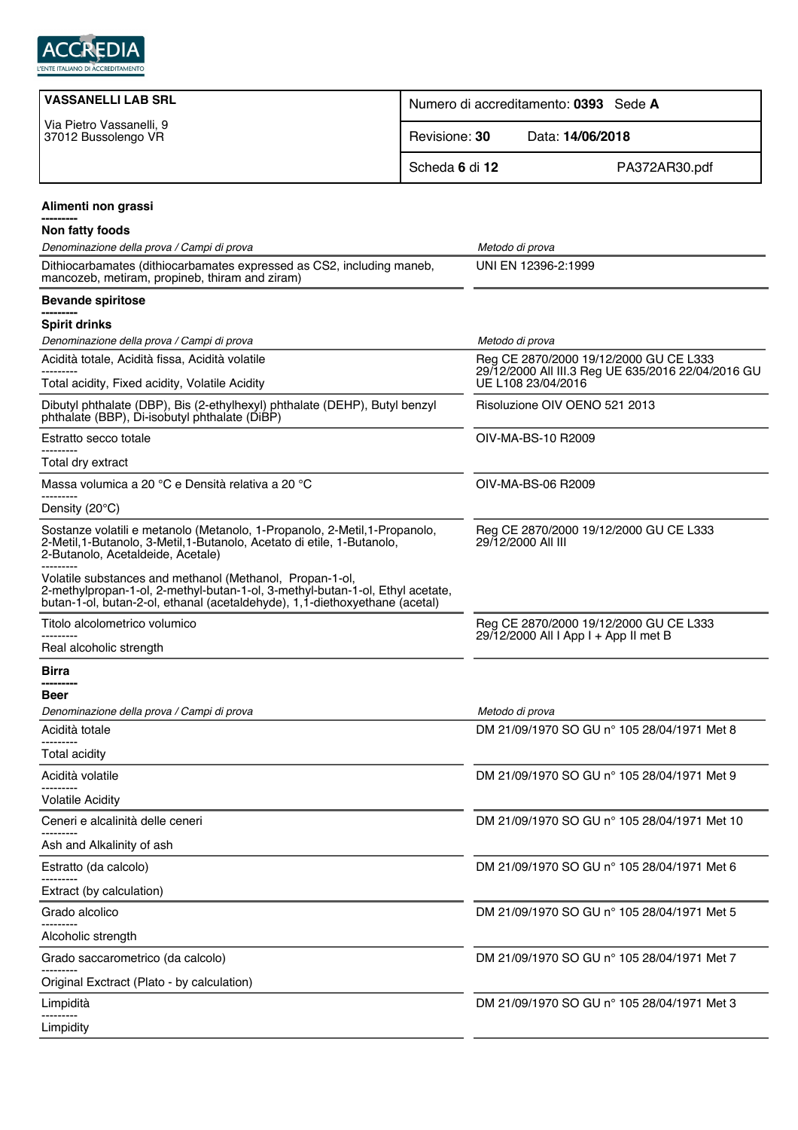

| <b>VASSANELLI LAB SRL</b>                                                                                                                                                                                                | Numero di accreditamento: 0393 Sede A |                                                                                                                    |  |
|--------------------------------------------------------------------------------------------------------------------------------------------------------------------------------------------------------------------------|---------------------------------------|--------------------------------------------------------------------------------------------------------------------|--|
| Via Pietro Vassanelli, 9<br>37012 Bussolengo VR                                                                                                                                                                          | Revisione: 30                         | Data: 14/06/2018                                                                                                   |  |
|                                                                                                                                                                                                                          | Scheda 6 di 12                        | PA372AR30.pdf                                                                                                      |  |
| Alimenti non grassi                                                                                                                                                                                                      |                                       |                                                                                                                    |  |
| Non fatty foods                                                                                                                                                                                                          |                                       |                                                                                                                    |  |
| Denominazione della prova / Campi di prova                                                                                                                                                                               |                                       | Metodo di prova                                                                                                    |  |
| Dithiocarbamates (dithiocarbamates expressed as CS2, including maneb,<br>mancozeb, metiram, propineb, thiram and ziram)                                                                                                  |                                       | UNI EN 12396-2:1999                                                                                                |  |
| <b>Bevande spiritose</b><br>----------                                                                                                                                                                                   |                                       |                                                                                                                    |  |
| <b>Spirit drinks</b>                                                                                                                                                                                                     |                                       |                                                                                                                    |  |
| Denominazione della prova / Campi di prova                                                                                                                                                                               |                                       | Metodo di prova                                                                                                    |  |
| Acidità totale, Acidità fissa, Acidità volatile<br>Total acidity, Fixed acidity, Volatile Acidity                                                                                                                        |                                       | Reg CE 2870/2000 19/12/2000 GU CE L333<br>29/12/2000 All III.3 Reg UE 635/2016 22/04/2016 GU<br>UE L108 23/04/2016 |  |
| Dibutyl phthalate (DBP), Bis (2-ethylhexyl) phthalate (DEHP), Butyl benzyl<br>phthalate (BBP), Di-isobutyl phthalate (DiBP)                                                                                              |                                       | Risoluzione OIV OENO 521 2013                                                                                      |  |
| Estratto secco totale                                                                                                                                                                                                    |                                       | OIV-MA-BS-10 R2009                                                                                                 |  |
| Total dry extract                                                                                                                                                                                                        |                                       |                                                                                                                    |  |
| Massa volumica a 20 °C e Densità relativa a 20 °C                                                                                                                                                                        |                                       | OIV-MA-BS-06 R2009                                                                                                 |  |
| Density (20°C)                                                                                                                                                                                                           |                                       |                                                                                                                    |  |
| Sostanze volatili e metanolo (Metanolo, 1-Propanolo, 2-Metil, 1-Propanolo,<br>2-Metil, 1-Butanolo, 3-Metil, 1-Butanolo, Acetato di etile, 1-Butanolo,<br>2-Butanolo, Acetaldeide, Acetale)                               |                                       | Reg CE 2870/2000 19/12/2000 GU CE L333<br>29/12/2000 All III                                                       |  |
| Volatile substances and methanol (Methanol, Propan-1-ol,<br>2-methylpropan-1-ol, 2-methyl-butan-1-ol, 3-methyl-butan-1-ol, Ethyl acetate,<br>butan-1-ol, butan-2-ol, ethanal (acetaldehyde), 1,1-diethoxyethane (acetal) |                                       |                                                                                                                    |  |
| Titolo alcolometrico volumico                                                                                                                                                                                            |                                       | Reg CE 2870/2000 19/12/2000 GU CE L333                                                                             |  |
| Real alcoholic strength                                                                                                                                                                                                  |                                       | 29/12/2000 All I App I + App II met B                                                                              |  |
| Birra                                                                                                                                                                                                                    |                                       |                                                                                                                    |  |
| Beer                                                                                                                                                                                                                     |                                       |                                                                                                                    |  |
| Denominazione della prova / Campi di prova                                                                                                                                                                               |                                       | Metodo di prova                                                                                                    |  |
| Acidità totale                                                                                                                                                                                                           |                                       | DM 21/09/1970 SO GU nº 105 28/04/1971 Met 8                                                                        |  |
| Total acidity                                                                                                                                                                                                            |                                       |                                                                                                                    |  |
| Acidità volatile                                                                                                                                                                                                         |                                       | DM 21/09/1970 SO GU n° 105 28/04/1971 Met 9                                                                        |  |
| <b>Volatile Acidity</b>                                                                                                                                                                                                  |                                       |                                                                                                                    |  |
| Ceneri e alcalinità delle ceneri                                                                                                                                                                                         |                                       | DM 21/09/1970 SO GU n° 105 28/04/1971 Met 10                                                                       |  |
| Ash and Alkalinity of ash                                                                                                                                                                                                |                                       |                                                                                                                    |  |
| Estratto (da calcolo)                                                                                                                                                                                                    |                                       | DM 21/09/1970 SO GU nº 105 28/04/1971 Met 6                                                                        |  |
| Extract (by calculation)                                                                                                                                                                                                 |                                       |                                                                                                                    |  |
| Grado alcolico<br>-------                                                                                                                                                                                                |                                       | DM 21/09/1970 SO GU nº 105 28/04/1971 Met 5                                                                        |  |
| Alcoholic strength                                                                                                                                                                                                       |                                       |                                                                                                                    |  |
| Grado saccarometrico (da calcolo)                                                                                                                                                                                        |                                       | DM 21/09/1970 SO GU nº 105 28/04/1971 Met 7                                                                        |  |
| Original Exctract (Plato - by calculation)                                                                                                                                                                               |                                       |                                                                                                                    |  |
| Limpidità                                                                                                                                                                                                                |                                       | DM 21/09/1970 SO GU nº 105 28/04/1971 Met 3                                                                        |  |
| Limpidity                                                                                                                                                                                                                |                                       |                                                                                                                    |  |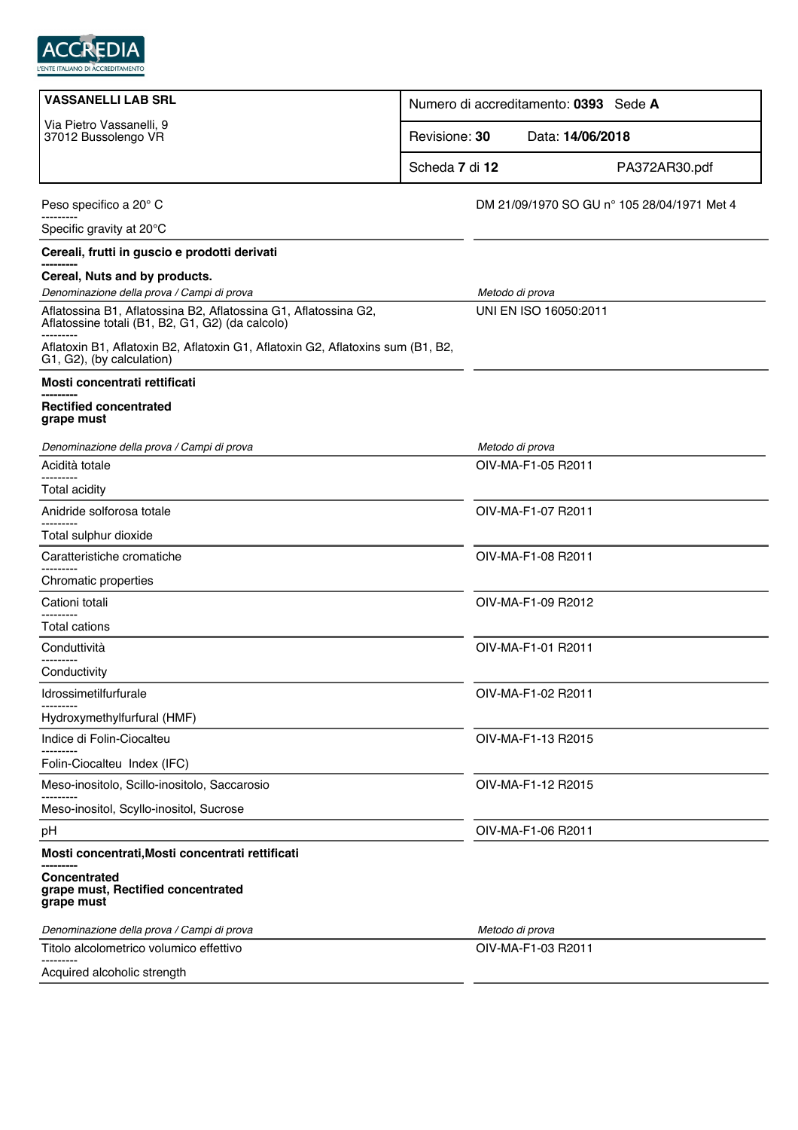

| <b>VASSANELLI LAB SRL</b>                                                                                           | Numero di accreditamento: 0393 Sede A |                                             |               |
|---------------------------------------------------------------------------------------------------------------------|---------------------------------------|---------------------------------------------|---------------|
| Via Pietro Vassanelli, 9<br>37012 Bussolengo VR                                                                     | Revisione: 30                         | Data: 14/06/2018                            |               |
|                                                                                                                     | Scheda 7 di 12                        |                                             | PA372AR30.pdf |
| Peso specifico a 20° C                                                                                              |                                       | DM 21/09/1970 SO GU n° 105 28/04/1971 Met 4 |               |
| Specific gravity at 20°C                                                                                            |                                       |                                             |               |
| Cereali, frutti in guscio e prodotti derivati                                                                       |                                       |                                             |               |
| Cereal, Nuts and by products.                                                                                       |                                       |                                             |               |
| Denominazione della prova / Campi di prova                                                                          |                                       | Metodo di prova                             |               |
| Aflatossina B1, Aflatossina B2, Aflatossina G1, Aflatossina G2,<br>Aflatossine totali (B1, B2, G1, G2) (da calcolo) |                                       | UNI EN ISO 16050:2011                       |               |
| Aflatoxin B1, Aflatoxin B2, Aflatoxin G1, Aflatoxin G2, Aflatoxins sum (B1, B2,<br>G1, G2), (by calculation)        |                                       |                                             |               |
| Mosti concentrati rettificati                                                                                       |                                       |                                             |               |
| <b>Rectified concentrated</b><br>grape must                                                                         |                                       |                                             |               |
| Denominazione della prova / Campi di prova                                                                          |                                       | Metodo di prova                             |               |
| Acidità totale                                                                                                      |                                       | OIV-MA-F1-05 R2011                          |               |
| <b>Total acidity</b>                                                                                                |                                       |                                             |               |
| Anidride solforosa totale                                                                                           |                                       | OIV-MA-F1-07 R2011                          |               |
| Total sulphur dioxide                                                                                               |                                       |                                             |               |
| Caratteristiche cromatiche                                                                                          |                                       | OIV-MA-F1-08 R2011                          |               |
| Chromatic properties                                                                                                |                                       |                                             |               |
| Cationi totali                                                                                                      |                                       | OIV-MA-F1-09 R2012                          |               |
| Total cations                                                                                                       |                                       |                                             |               |
| Conduttività<br>--------                                                                                            |                                       | OIV-MA-F1-01 R2011                          |               |
| Conductivity                                                                                                        |                                       |                                             |               |
| Idrossimetilfurfurale                                                                                               |                                       | OIV-MA-F1-02 R2011                          |               |
| Hydroxymethylfurfural (HMF)                                                                                         |                                       |                                             |               |
| Indice di Folin-Ciocalteu                                                                                           |                                       | OIV-MA-F1-13 R2015                          |               |
| Folin-Ciocalteu Index (IFC)                                                                                         |                                       |                                             |               |
| Meso-inositolo, Scillo-inositolo, Saccarosio                                                                        |                                       | OIV-MA-F1-12 R2015                          |               |
| Meso-inositol, Scyllo-inositol, Sucrose                                                                             |                                       |                                             |               |
| pH                                                                                                                  |                                       | OIV-MA-F1-06 R2011                          |               |
| Mosti concentrati, Mosti concentrati rettificati                                                                    |                                       |                                             |               |
| Concentrated<br>grape must, Rectified concentrated<br>grape must                                                    |                                       |                                             |               |
| Denominazione della prova / Campi di prova                                                                          |                                       | Metodo di prova                             |               |
| Titolo alcolometrico volumico effettivo                                                                             |                                       | OIV-MA-F1-03 R2011                          |               |
| Acquired alcoholic strength                                                                                         |                                       |                                             |               |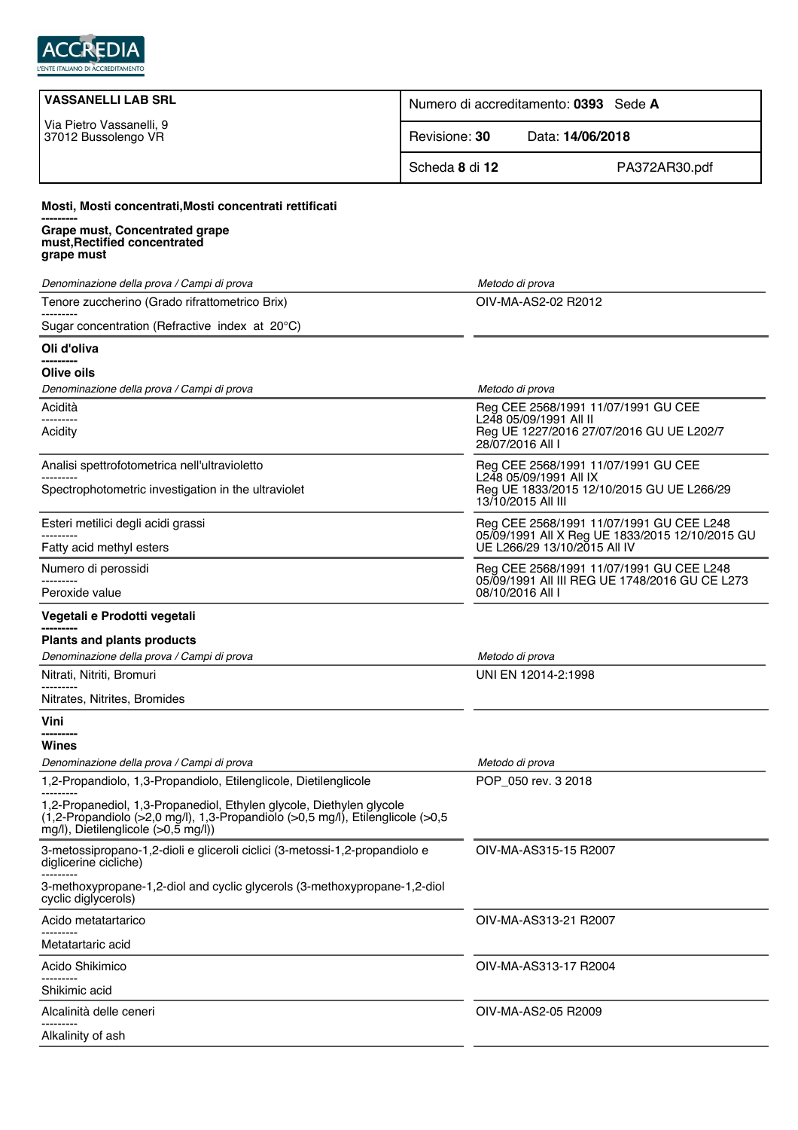

| <b>VASSANELLI LAB SRL</b>                                                                                                                                                                     | Numero di accreditamento: 0393 Sede A |                                                                                            |
|-----------------------------------------------------------------------------------------------------------------------------------------------------------------------------------------------|---------------------------------------|--------------------------------------------------------------------------------------------|
| Via Pietro Vassanelli, 9<br>37012 Bussolengo VR                                                                                                                                               | Revisione: 30                         | Data: 14/06/2018                                                                           |
|                                                                                                                                                                                               | Scheda 8 di 12                        | PA372AR30.pdf                                                                              |
| Mosti, Mosti concentrati, Mosti concentrati rettificati                                                                                                                                       |                                       |                                                                                            |
| Grape must, Concentrated grape<br>must, Rectified concentrated<br>grape must                                                                                                                  |                                       |                                                                                            |
| Denominazione della prova / Campi di prova                                                                                                                                                    |                                       | Metodo di prova                                                                            |
| Tenore zuccherino (Grado rifrattometrico Brix)                                                                                                                                                |                                       | OIV-MA-AS2-02 R2012                                                                        |
| Sugar concentration (Refractive index at 20°C)                                                                                                                                                |                                       |                                                                                            |
| Oli d'oliva                                                                                                                                                                                   |                                       |                                                                                            |
| Olive oils                                                                                                                                                                                    |                                       |                                                                                            |
| Denominazione della prova / Campi di prova                                                                                                                                                    |                                       | Metodo di prova                                                                            |
| Acidità<br>---------                                                                                                                                                                          |                                       | Reg CEE 2568/1991 11/07/1991 GU CEE<br>L248 05/09/1991 All II                              |
| Acidity                                                                                                                                                                                       |                                       | Reg UE 1227/2016 27/07/2016 GU UE L202/7<br>28/07/2016 All I                               |
| Analisi spettrofotometrica nell'ultravioletto                                                                                                                                                 |                                       | Reg CEE 2568/1991 11/07/1991 GU CEE<br>L248 05/09/1991 All IX                              |
| Spectrophotometric investigation in the ultraviolet                                                                                                                                           |                                       | Reg UE 1833/2015 12/10/2015 GU UE L266/29<br>13/10/2015 All III                            |
| Esteri metilici degli acidi grassi                                                                                                                                                            |                                       | Reg CEE 2568/1991 11/07/1991 GU CEE L248                                                   |
| Fatty acid methyl esters                                                                                                                                                                      |                                       | 05/09/1991 All X Reg UE 1833/2015 12/10/2015 GU<br>UE L266/29 13/10/2015 All IV            |
| Numero di perossidi                                                                                                                                                                           |                                       | Reg CEE 2568/1991 11/07/1991 GU CEE L248<br>05/09/1991 All III REG UE 1748/2016 GU CE L273 |
| Peroxide value                                                                                                                                                                                |                                       | 08/10/2016 All I                                                                           |
| Vegetali e Prodotti vegetali                                                                                                                                                                  |                                       |                                                                                            |
| <b>Plants and plants products</b>                                                                                                                                                             |                                       |                                                                                            |
| Denominazione della prova / Campi di prova                                                                                                                                                    |                                       | Metodo di prova<br>UNI EN 12014-2:1998                                                     |
| Nitrati, Nitriti, Bromuri                                                                                                                                                                     |                                       |                                                                                            |
| Nitrates, Nitrites, Bromides                                                                                                                                                                  |                                       |                                                                                            |
| Vini                                                                                                                                                                                          |                                       |                                                                                            |
| Wines<br>Denominazione della prova / Campi di prova                                                                                                                                           |                                       | Metodo di prova                                                                            |
| 1,2-Propandiolo, 1,3-Propandiolo, Etilenglicole, Dietilenglicole                                                                                                                              |                                       | POP_050 rev. 3 2018                                                                        |
| 1,2-Propanediol, 1,3-Propanediol, Ethylen glycole, Diethylen glycole<br>(1,2-Propandiolo (>2,0 mg/l), 1,3-Propandiolo (>0,5 mg/l), Etilenglicole (>0,5<br>mg/l), Dietilenglicole (>0,5 mg/l)) |                                       |                                                                                            |
| 3-metossipropano-1,2-dioli e gliceroli ciclici (3-metossi-1,2-propandiolo e<br>diglicerine cicliche)                                                                                          |                                       | OIV-MA-AS315-15 R2007                                                                      |
| 3-methoxypropane-1,2-diol and cyclic glycerols (3-methoxypropane-1,2-diol<br>cyclic diglycerols)                                                                                              |                                       |                                                                                            |
| Acido metatartarico                                                                                                                                                                           |                                       | OIV-MA-AS313-21 R2007                                                                      |
| Metatartaric acid                                                                                                                                                                             |                                       |                                                                                            |
| Acido Shikimico                                                                                                                                                                               |                                       | OIV-MA-AS313-17 R2004                                                                      |
| Shikimic acid                                                                                                                                                                                 |                                       |                                                                                            |
| Alcalinità delle ceneri                                                                                                                                                                       |                                       | OIV-MA-AS2-05 R2009                                                                        |
| Alkalinity of ash                                                                                                                                                                             |                                       |                                                                                            |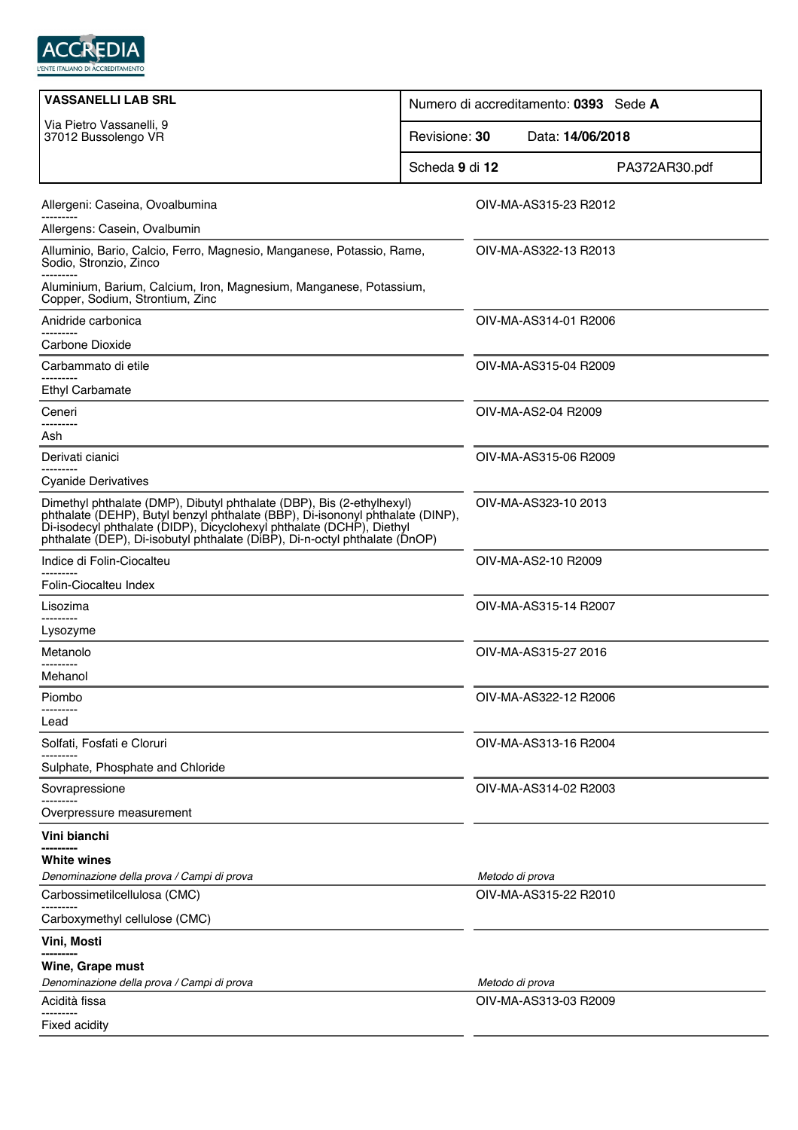

| <b>VASSANELLI LAB SRL</b>                                                                                                                                                                                                                                                                                    | Numero di accreditamento: 0393 Sede A |  |
|--------------------------------------------------------------------------------------------------------------------------------------------------------------------------------------------------------------------------------------------------------------------------------------------------------------|---------------------------------------|--|
| Via Pietro Vassanelli, 9<br>37012 Bussolengo VR                                                                                                                                                                                                                                                              | Revisione: 30<br>Data: 14/06/2018     |  |
|                                                                                                                                                                                                                                                                                                              | Scheda 9 di 12<br>PA372AR30.pdf       |  |
| Allergeni: Caseina, Ovoalbumina                                                                                                                                                                                                                                                                              | OIV-MA-AS315-23 R2012                 |  |
| Allergens: Casein, Ovalbumin                                                                                                                                                                                                                                                                                 |                                       |  |
| Alluminio, Bario, Calcio, Ferro, Magnesio, Manganese, Potassio, Rame,<br>Sodio, Stronzio, Zinco                                                                                                                                                                                                              | OIV-MA-AS322-13 R2013                 |  |
| Aluminium, Barium, Calcium, Iron, Magnesium, Manganese, Potassium,<br>Copper, Sodium, Strontium, Zinc                                                                                                                                                                                                        |                                       |  |
| Anidride carbonica<br>---------                                                                                                                                                                                                                                                                              | OIV-MA-AS314-01 R2006                 |  |
| Carbone Dioxide                                                                                                                                                                                                                                                                                              |                                       |  |
| Carbammato di etile                                                                                                                                                                                                                                                                                          | OIV-MA-AS315-04 R2009                 |  |
| <b>Ethyl Carbamate</b>                                                                                                                                                                                                                                                                                       |                                       |  |
| Ceneri<br>---------                                                                                                                                                                                                                                                                                          | OIV-MA-AS2-04 R2009                   |  |
| Ash                                                                                                                                                                                                                                                                                                          |                                       |  |
| Derivati cianici                                                                                                                                                                                                                                                                                             | OIV-MA-AS315-06 R2009                 |  |
| <b>Cyanide Derivatives</b>                                                                                                                                                                                                                                                                                   |                                       |  |
| Dimethyl phthalate (DMP), Dibutyl phthalate (DBP), Bis (2-ethylhexyl)<br>phthalate (DEHP), Butyl benzyl phthalate (BBP), Di-isononyl phthalate (DINP),<br>Di-isodecyl phthalate (DIDP), Dicyclohexyl phthalate (DCHP), Diethyl<br>phthalate (DEP), Di-isobutyl phthalate (DiBP), Di-n-octyl phthalate (DnOP) | OIV-MA-AS323-10 2013                  |  |
| Indice di Folin-Ciocalteu                                                                                                                                                                                                                                                                                    | OIV-MA-AS2-10 R2009                   |  |
| Folin-Ciocalteu Index                                                                                                                                                                                                                                                                                        |                                       |  |
| Lisozima                                                                                                                                                                                                                                                                                                     | OIV-MA-AS315-14 R2007                 |  |
| -------<br>Lysozyme                                                                                                                                                                                                                                                                                          |                                       |  |
| Metanolo                                                                                                                                                                                                                                                                                                     | OIV-MA-AS315-27 2016                  |  |
| ---------<br>Mehanol                                                                                                                                                                                                                                                                                         |                                       |  |
| Piombo                                                                                                                                                                                                                                                                                                       | OIV-MA-AS322-12 R2006                 |  |
| Lead                                                                                                                                                                                                                                                                                                         |                                       |  |
| Solfati, Fosfati e Cloruri                                                                                                                                                                                                                                                                                   | OIV-MA-AS313-16 R2004                 |  |
| Sulphate, Phosphate and Chloride                                                                                                                                                                                                                                                                             |                                       |  |
| Sovrapressione                                                                                                                                                                                                                                                                                               | OIV-MA-AS314-02 R2003                 |  |
| Overpressure measurement                                                                                                                                                                                                                                                                                     |                                       |  |
| Vini bianchi                                                                                                                                                                                                                                                                                                 |                                       |  |
| White wines                                                                                                                                                                                                                                                                                                  |                                       |  |
| Denominazione della prova / Campi di prova                                                                                                                                                                                                                                                                   | Metodo di prova                       |  |
| Carbossimetilcellulosa (CMC)                                                                                                                                                                                                                                                                                 | OIV-MA-AS315-22 R2010                 |  |
| Carboxymethyl cellulose (CMC)                                                                                                                                                                                                                                                                                |                                       |  |
| Vini, Mosti                                                                                                                                                                                                                                                                                                  |                                       |  |
| Wine, Grape must                                                                                                                                                                                                                                                                                             |                                       |  |
| Denominazione della prova / Campi di prova                                                                                                                                                                                                                                                                   | Metodo di prova                       |  |
| Acidità fissa<br>                                                                                                                                                                                                                                                                                            | OIV-MA-AS313-03 R2009                 |  |
| <b>Fixed acidity</b>                                                                                                                                                                                                                                                                                         |                                       |  |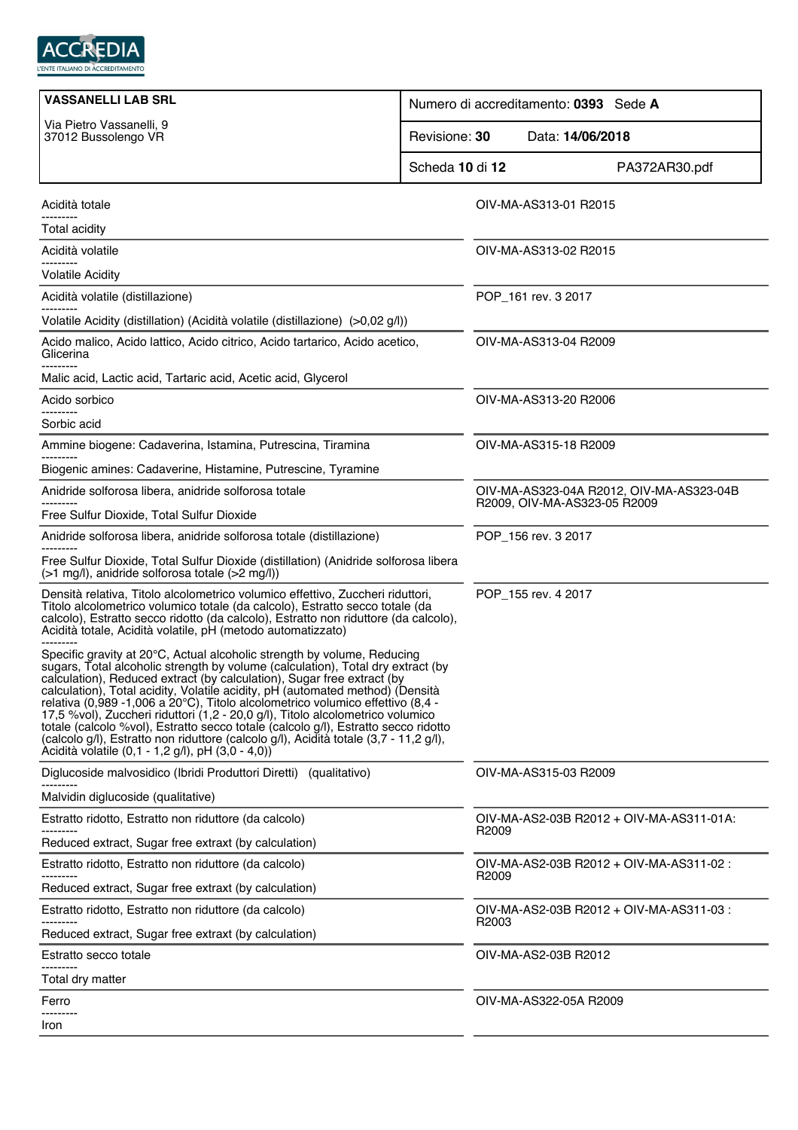

| <b>VASSANELLI LAB SRL</b>                                                                                                                                                                                                                                                                                                                                                                                                                                                                                                                                                                                                                                                                                                     | Numero di accreditamento: 0393 Sede A                                    |  |
|-------------------------------------------------------------------------------------------------------------------------------------------------------------------------------------------------------------------------------------------------------------------------------------------------------------------------------------------------------------------------------------------------------------------------------------------------------------------------------------------------------------------------------------------------------------------------------------------------------------------------------------------------------------------------------------------------------------------------------|--------------------------------------------------------------------------|--|
| Via Pietro Vassanelli, 9<br>37012 Bussolengo VR                                                                                                                                                                                                                                                                                                                                                                                                                                                                                                                                                                                                                                                                               | Revisione: 30<br>Data: 14/06/2018                                        |  |
|                                                                                                                                                                                                                                                                                                                                                                                                                                                                                                                                                                                                                                                                                                                               | Scheda 10 di 12<br>PA372AR30.pdf                                         |  |
| Acidità totale                                                                                                                                                                                                                                                                                                                                                                                                                                                                                                                                                                                                                                                                                                                | OIV-MA-AS313-01 R2015                                                    |  |
| Total acidity                                                                                                                                                                                                                                                                                                                                                                                                                                                                                                                                                                                                                                                                                                                 |                                                                          |  |
| Acidità volatile                                                                                                                                                                                                                                                                                                                                                                                                                                                                                                                                                                                                                                                                                                              | OIV-MA-AS313-02 R2015                                                    |  |
| <b>Volatile Acidity</b>                                                                                                                                                                                                                                                                                                                                                                                                                                                                                                                                                                                                                                                                                                       |                                                                          |  |
| Acidità volatile (distillazione)                                                                                                                                                                                                                                                                                                                                                                                                                                                                                                                                                                                                                                                                                              | POP_161 rev. 3 2017                                                      |  |
| Volatile Acidity (distillation) (Acidità volatile (distillazione) (>0,02 g/l))                                                                                                                                                                                                                                                                                                                                                                                                                                                                                                                                                                                                                                                |                                                                          |  |
| Acido malico, Acido lattico, Acido citrico, Acido tartarico, Acido acetico,<br>Glicerina                                                                                                                                                                                                                                                                                                                                                                                                                                                                                                                                                                                                                                      | OIV-MA-AS313-04 R2009                                                    |  |
| Malic acid, Lactic acid, Tartaric acid, Acetic acid, Glycerol                                                                                                                                                                                                                                                                                                                                                                                                                                                                                                                                                                                                                                                                 |                                                                          |  |
| Acido sorbico                                                                                                                                                                                                                                                                                                                                                                                                                                                                                                                                                                                                                                                                                                                 | OIV-MA-AS313-20 R2006                                                    |  |
| Sorbic acid                                                                                                                                                                                                                                                                                                                                                                                                                                                                                                                                                                                                                                                                                                                   |                                                                          |  |
| Ammine biogene: Cadaverina, Istamina, Putrescina, Tiramina                                                                                                                                                                                                                                                                                                                                                                                                                                                                                                                                                                                                                                                                    | OIV-MA-AS315-18 R2009                                                    |  |
| Biogenic amines: Cadaverine, Histamine, Putrescine, Tyramine                                                                                                                                                                                                                                                                                                                                                                                                                                                                                                                                                                                                                                                                  |                                                                          |  |
| Anidride solforosa libera, anidride solforosa totale                                                                                                                                                                                                                                                                                                                                                                                                                                                                                                                                                                                                                                                                          | OIV-MA-AS323-04A R2012, OIV-MA-AS323-04B<br>R2009, OIV-MA-AS323-05 R2009 |  |
| Free Sulfur Dioxide, Total Sulfur Dioxide                                                                                                                                                                                                                                                                                                                                                                                                                                                                                                                                                                                                                                                                                     |                                                                          |  |
| Anidride solforosa libera, anidride solforosa totale (distillazione)                                                                                                                                                                                                                                                                                                                                                                                                                                                                                                                                                                                                                                                          | POP_156 rev. 3 2017                                                      |  |
| Free Sulfur Dioxide, Total Sulfur Dioxide (distillation) (Anidride solforosa libera<br>(>1 mg/l), anidride solforosa totale (>2 mg/l))                                                                                                                                                                                                                                                                                                                                                                                                                                                                                                                                                                                        |                                                                          |  |
| Densità relativa, Titolo alcolometrico volumico effettivo, Zuccheri riduttori,<br>Titolo alcolometrico volumico totale (da calcolo), Estratto secco totale (da<br>calcolo), Estratto secco ridotto (da calcolo), Estratto non riduttore (da calcolo),<br>Acidità totale, Acidità volatile, pH (metodo automatizzato)                                                                                                                                                                                                                                                                                                                                                                                                          | POP_155 rev. 4 2017                                                      |  |
| Specific gravity at 20°C, Actual alcoholic strength by volume, Reducing<br>sugars, Total alcoholic strength by volume (calculation), Total dry extract (by<br>calculation), Reduced extract (by calculation), Sugar free extract (by<br>calculation), Total acidity, Volatile acidity, pH (automated method) (Densità<br>relativa (0,989 -1,006 a 20°C), Titolo alcolometrico volumico effettivo (8,4 -<br>17,5 %vol), Zuccheri riduttori (1,2 - 20,0 g/l), Titolo alcolometrico volumico<br>totale (calcolo %vol), Estratto secco totale (calcolo g/l), Estratto secco ridotto<br>(calcolo g/l), Estratto non riduttore (calcolo g/l), Acidità totale (3,7 - 11,2 g/l),<br>Àcidità volatile (0,1 - 1,2 g/l), pH (3,0 - 4,0)) |                                                                          |  |
| Diglucoside malvosidico (Ibridi Produttori Diretti) (qualitativo)                                                                                                                                                                                                                                                                                                                                                                                                                                                                                                                                                                                                                                                             | OIV-MA-AS315-03 R2009                                                    |  |
| Malvidin diglucoside (qualitative)                                                                                                                                                                                                                                                                                                                                                                                                                                                                                                                                                                                                                                                                                            |                                                                          |  |
| Estratto ridotto, Estratto non riduttore (da calcolo)                                                                                                                                                                                                                                                                                                                                                                                                                                                                                                                                                                                                                                                                         | OIV-MA-AS2-03B R2012 + OIV-MA-AS311-01A:                                 |  |
| Reduced extract, Sugar free extraxt (by calculation)                                                                                                                                                                                                                                                                                                                                                                                                                                                                                                                                                                                                                                                                          | R <sub>2009</sub>                                                        |  |
| Estratto ridotto, Estratto non riduttore (da calcolo)                                                                                                                                                                                                                                                                                                                                                                                                                                                                                                                                                                                                                                                                         | OIV-MA-AS2-03B R2012 + OIV-MA-AS311-02 :                                 |  |
| Reduced extract, Sugar free extraxt (by calculation)                                                                                                                                                                                                                                                                                                                                                                                                                                                                                                                                                                                                                                                                          | R2009                                                                    |  |
| Estratto ridotto, Estratto non riduttore (da calcolo)                                                                                                                                                                                                                                                                                                                                                                                                                                                                                                                                                                                                                                                                         | OIV-MA-AS2-03B R2012 + OIV-MA-AS311-03 :                                 |  |
| Reduced extract, Sugar free extraxt (by calculation)                                                                                                                                                                                                                                                                                                                                                                                                                                                                                                                                                                                                                                                                          | R <sub>2003</sub>                                                        |  |
| Estratto secco totale                                                                                                                                                                                                                                                                                                                                                                                                                                                                                                                                                                                                                                                                                                         | OIV-MA-AS2-03B R2012                                                     |  |
| Total dry matter                                                                                                                                                                                                                                                                                                                                                                                                                                                                                                                                                                                                                                                                                                              |                                                                          |  |
| Ferro                                                                                                                                                                                                                                                                                                                                                                                                                                                                                                                                                                                                                                                                                                                         | OIV-MA-AS322-05A R2009                                                   |  |
| .<br>Iron                                                                                                                                                                                                                                                                                                                                                                                                                                                                                                                                                                                                                                                                                                                     |                                                                          |  |
|                                                                                                                                                                                                                                                                                                                                                                                                                                                                                                                                                                                                                                                                                                                               |                                                                          |  |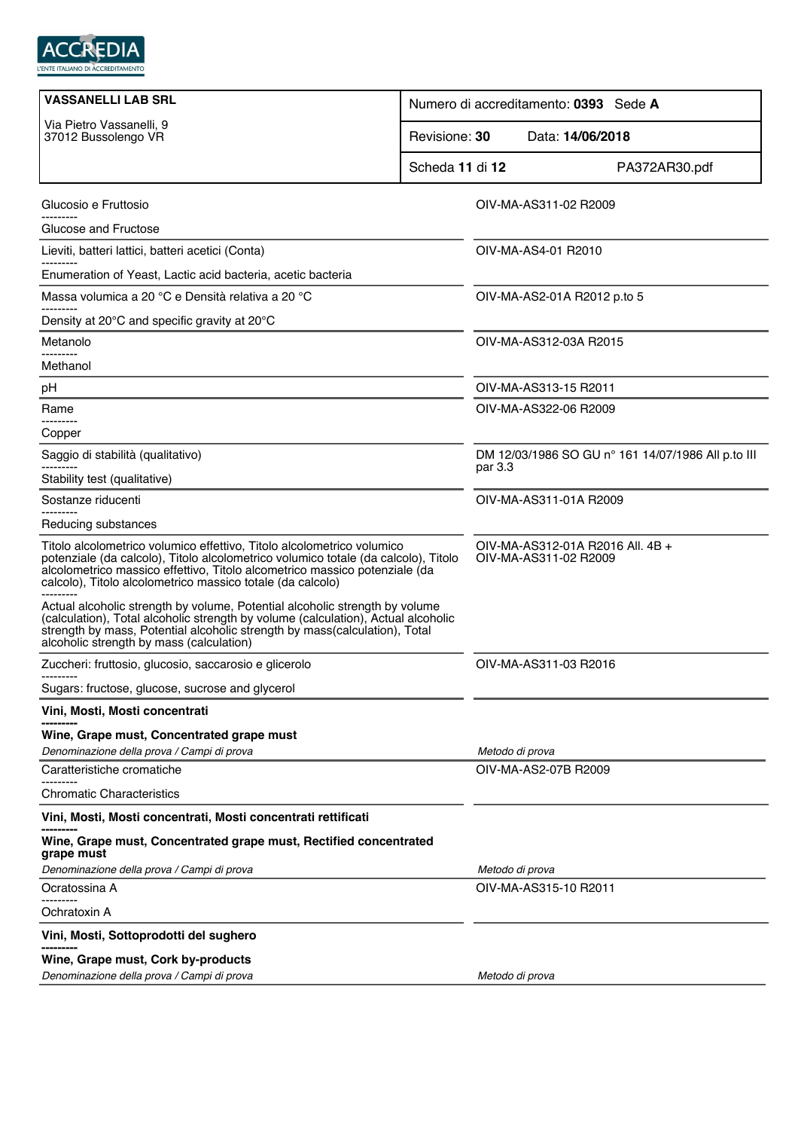

| <b>VASSANELLI LAB SRL</b>                                                                                                                                                                                                                                                                                |                                   | Numero di accreditamento: 0393 Sede A                     |                                                    |  |
|----------------------------------------------------------------------------------------------------------------------------------------------------------------------------------------------------------------------------------------------------------------------------------------------------------|-----------------------------------|-----------------------------------------------------------|----------------------------------------------------|--|
| Via Pietro Vassanelli, 9<br>37012 Bussolengo VR                                                                                                                                                                                                                                                          | Revisione: 30<br>Data: 14/06/2018 |                                                           |                                                    |  |
|                                                                                                                                                                                                                                                                                                          | Scheda 11 di 12                   |                                                           | PA372AR30.pdf                                      |  |
| Glucosio e Fruttosio                                                                                                                                                                                                                                                                                     |                                   | OIV-MA-AS311-02 R2009                                     |                                                    |  |
| Glucose and Fructose                                                                                                                                                                                                                                                                                     |                                   |                                                           |                                                    |  |
| Lieviti, batteri lattici, batteri acetici (Conta)                                                                                                                                                                                                                                                        |                                   | OIV-MA-AS4-01 R2010                                       |                                                    |  |
| Enumeration of Yeast, Lactic acid bacteria, acetic bacteria                                                                                                                                                                                                                                              |                                   |                                                           |                                                    |  |
| Massa volumica a 20 °C e Densità relativa a 20 °C                                                                                                                                                                                                                                                        |                                   | OIV-MA-AS2-01A R2012 p.to 5                               |                                                    |  |
| Density at 20 $\degree$ C and specific gravity at 20 $\degree$ C                                                                                                                                                                                                                                         |                                   |                                                           |                                                    |  |
| Metanolo                                                                                                                                                                                                                                                                                                 |                                   | OIV-MA-AS312-03A R2015                                    |                                                    |  |
| Methanol                                                                                                                                                                                                                                                                                                 |                                   |                                                           |                                                    |  |
| pH                                                                                                                                                                                                                                                                                                       |                                   | OIV-MA-AS313-15 R2011                                     |                                                    |  |
| Rame                                                                                                                                                                                                                                                                                                     |                                   | OIV-MA-AS322-06 R2009                                     |                                                    |  |
| ---------<br>Copper                                                                                                                                                                                                                                                                                      |                                   |                                                           |                                                    |  |
| Saggio di stabilità (qualitativo)                                                                                                                                                                                                                                                                        |                                   |                                                           | DM 12/03/1986 SO GU nº 161 14/07/1986 All p.to III |  |
| Stability test (qualitative)                                                                                                                                                                                                                                                                             | par 3.3                           |                                                           |                                                    |  |
| Sostanze riducenti                                                                                                                                                                                                                                                                                       |                                   | OIV-MA-AS311-01A R2009                                    |                                                    |  |
| Reducing substances                                                                                                                                                                                                                                                                                      |                                   |                                                           |                                                    |  |
| Titolo alcolometrico volumico effettivo, Titolo alcolometrico volumico<br>potenziale (da calcolo), Titolo alcolometrico volumico totale (da calcolo), Titolo<br>alcolometrico massico effettivo, Titolo alcometrico massico potenziale (da<br>calcolo), Titolo alcolometrico massico totale (da calcolo) |                                   | OIV-MA-AS312-01A R2016 All. 4B +<br>OIV-MA-AS311-02 R2009 |                                                    |  |
| Actual alcoholic strength by volume, Potential alcoholic strength by volume<br>(calculation), Total alcoholic strength by volume (calculation), Actual alcoholic<br>strength by mass, Potential alcoholic strength by mass (calculation), Total<br>alcoholic strength by mass (calculation)              |                                   |                                                           |                                                    |  |
| Zuccheri: fruttosio, glucosio, saccarosio e glicerolo                                                                                                                                                                                                                                                    |                                   | OIV-MA-AS311-03 R2016                                     |                                                    |  |
| Sugars: fructose, glucose, sucrose and glycerol                                                                                                                                                                                                                                                          |                                   |                                                           |                                                    |  |
| Vini, Mosti, Mosti concentrati                                                                                                                                                                                                                                                                           |                                   |                                                           |                                                    |  |
| Wine, Grape must, Concentrated grape must                                                                                                                                                                                                                                                                |                                   |                                                           |                                                    |  |
| Denominazione della prova / Campi di prova                                                                                                                                                                                                                                                               |                                   | Metodo di prova                                           |                                                    |  |
| Caratteristiche cromatiche                                                                                                                                                                                                                                                                               |                                   | OIV-MA-AS2-07B R2009                                      |                                                    |  |
| <b>Chromatic Characteristics</b>                                                                                                                                                                                                                                                                         |                                   |                                                           |                                                    |  |
| Vini, Mosti, Mosti concentrati, Mosti concentrati rettificati                                                                                                                                                                                                                                            |                                   |                                                           |                                                    |  |
| Wine, Grape must, Concentrated grape must, Rectified concentrated<br>grape must                                                                                                                                                                                                                          |                                   |                                                           |                                                    |  |
| Denominazione della prova / Campi di prova                                                                                                                                                                                                                                                               |                                   | Metodo di prova                                           |                                                    |  |
| Ocratossina A                                                                                                                                                                                                                                                                                            |                                   | OIV-MA-AS315-10 R2011                                     |                                                    |  |
| Ochratoxin A                                                                                                                                                                                                                                                                                             |                                   |                                                           |                                                    |  |
| Vini, Mosti, Sottoprodotti del sughero                                                                                                                                                                                                                                                                   |                                   |                                                           |                                                    |  |
| Wine, Grape must, Cork by-products                                                                                                                                                                                                                                                                       |                                   |                                                           |                                                    |  |
| Denominazione della prova / Campi di prova                                                                                                                                                                                                                                                               |                                   | Metodo di prova                                           |                                                    |  |